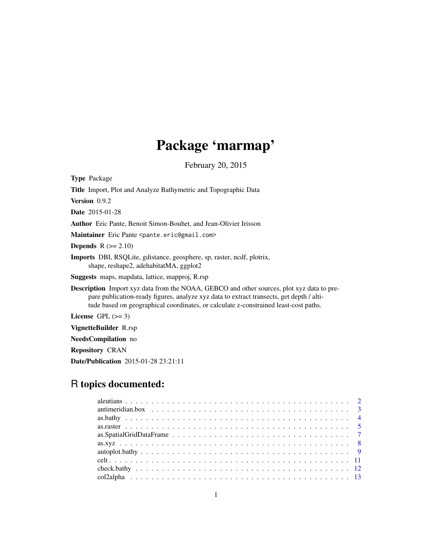# Package 'marmap'

February 20, 2015

<span id="page-0-0"></span>

| <b>Type Package</b>                                                                                                                                                                                                                                                                  |
|--------------------------------------------------------------------------------------------------------------------------------------------------------------------------------------------------------------------------------------------------------------------------------------|
| <b>Title</b> Import, Plot and Analyze Bathymetric and Topographic Data                                                                                                                                                                                                               |
| <b>Version</b> 0.9.2                                                                                                                                                                                                                                                                 |
| <b>Date</b> 2015-01-28                                                                                                                                                                                                                                                               |
| <b>Author</b> Eric Pante, Benoit Simon-Bouhet, and Jean-Olivier Irisson                                                                                                                                                                                                              |
| Maintainer Eric Pante <pante.eric@gmail.com></pante.eric@gmail.com>                                                                                                                                                                                                                  |
| <b>Depends</b> $R (= 2.10)$                                                                                                                                                                                                                                                          |
| <b>Imports</b> DBI, RSQLite, gdistance, geosphere, sp, raster, ncdf, plotrix,<br>shape, reshape2, adehabitatMA, ggplot2                                                                                                                                                              |
| <b>Suggests</b> maps, mapdata, lattice, mapproj, R.rsp                                                                                                                                                                                                                               |
| <b>Description</b> Import xyz data from the NOAA, GEBCO and other sources, plot xyz data to pre-<br>pare publication-ready figures, analyze xyz data to extract transects, get depth / alti-<br>tude based on geographical coordinates, or calculate z-constrained least-cost paths. |
| License $GPL \, (>= 3)$                                                                                                                                                                                                                                                              |
| <b>VignetteBuilder</b> R.rsp                                                                                                                                                                                                                                                         |
| <b>NeedsCompilation</b> no                                                                                                                                                                                                                                                           |
| <b>Repository CRAN</b>                                                                                                                                                                                                                                                               |

# R topics documented:

Date/Publication 2015-01-28 23:21:11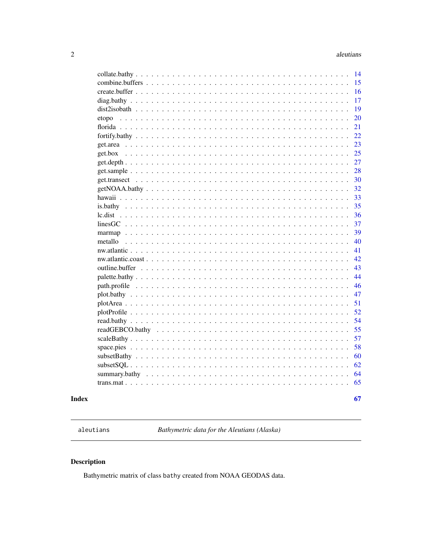<span id="page-1-0"></span>

|         | 14 |
|---------|----|
|         | 15 |
|         | 16 |
|         | 17 |
|         | 19 |
| etopo   | 20 |
|         | 21 |
|         | 22 |
|         | 23 |
|         | 25 |
|         | 27 |
|         | 28 |
|         | 30 |
|         | 32 |
|         | 33 |
|         | 35 |
|         | 36 |
|         | 37 |
|         | 39 |
| metallo | 40 |
|         | 41 |
|         | 42 |
|         | 43 |
|         | 44 |
|         | 46 |
|         | 47 |
|         | 51 |
|         | 52 |
|         | 54 |
|         | 55 |
|         | 57 |
|         | 58 |
|         | 60 |
|         | 62 |
|         | 64 |
|         | 65 |
|         |    |
|         | 67 |

# **Index**

<span id="page-1-1"></span>aleutians

Bathymetric data for the Aleutians (Alaska)

# **Description**

Bathymetric matrix of class bathy created from NOAA GEODAS data.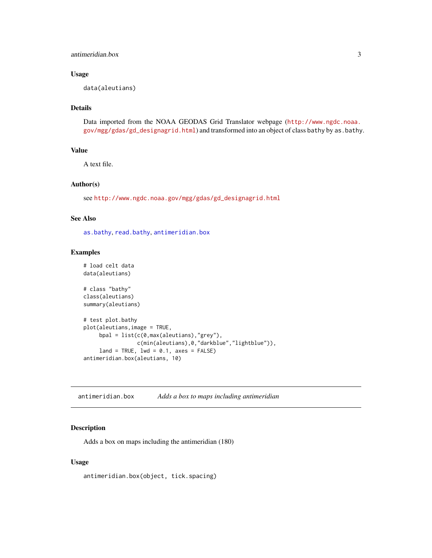# <span id="page-2-0"></span>antimeridian.box 3

# Usage

data(aleutians)

# Details

Data imported from the NOAA GEODAS Grid Translator webpage ([http://www.ngdc.noaa.](http://www.ngdc.noaa.gov/mgg/gdas/gd_designagrid.html) [gov/mgg/gdas/gd\\_designagrid.html](http://www.ngdc.noaa.gov/mgg/gdas/gd_designagrid.html)) and transformed into an object of class bathy by as.bathy.

# Value

A text file.

# Author(s)

see [http://www.ngdc.noaa.gov/mgg/gdas/gd\\_designagrid.html](http://www.ngdc.noaa.gov/mgg/gdas/gd_designagrid.html)

# See Also

[as.bathy](#page-3-1), [read.bathy](#page-53-1), [antimeridian.box](#page-2-1)

#### Examples

```
# load celt data
data(aleutians)
```

```
# class "bathy"
class(aleutians)
summary(aleutians)
```

```
# test plot.bathy
plot(aleutians,image = TRUE,
    bpal = list(c(0,max(aleutians),"grey"),
                 c(min(aleutians),0,"darkblue","lightblue")),
    land = TRUE, 1wd = 0.1, axes = FALSE)antimeridian.box(aleutians, 10)
```
<span id="page-2-1"></span>antimeridian.box *Adds a box to maps including antimeridian*

#### Description

Adds a box on maps including the antimeridian (180)

# Usage

antimeridian.box(object, tick.spacing)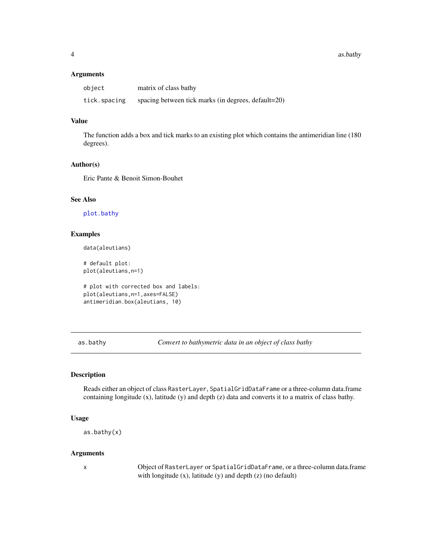#### <span id="page-3-0"></span>Arguments

| object       | matrix of class bathy                               |
|--------------|-----------------------------------------------------|
| tick.spacing | spacing between tick marks (in degrees, default=20) |

# Value

The function adds a box and tick marks to an existing plot which contains the antimeridian line (180 degrees).

# Author(s)

Eric Pante & Benoit Simon-Bouhet

# See Also

[plot.bathy](#page-46-1)

#### Examples

data(aleutians)

# default plot: plot(aleutians,n=1)

# plot with corrected box and labels: plot(aleutians,n=1,axes=FALSE) antimeridian.box(aleutians, 10)

<span id="page-3-1"></span>as.bathy *Convert to bathymetric data in an object of class bathy*

# Description

Reads either an object of class RasterLayer, SpatialGridDataFrame or a three-column data.frame containing longitude (x), latitude (y) and depth (z) data and converts it to a matrix of class bathy.

# Usage

as.bathy(x)

#### Arguments

x Object of RasterLayer or SpatialGridDataFrame, or a three-column data.frame with longitude (x), latitude (y) and depth (z) (no default)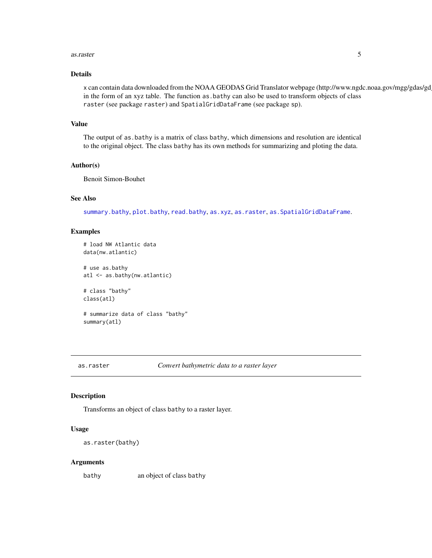#### <span id="page-4-0"></span>as.raster 5

# Details

x can contain data downloaded from the NOAA GEODAS Grid Translator webpage (http://www.ngdc.noaa.gov/mgg/gdas/gd in the form of an xyz table. The function as.bathy can also be used to transform objects of class raster (see package raster) and SpatialGridDataFrame (see package sp).

# Value

The output of as.bathy is a matrix of class bathy, which dimensions and resolution are identical to the original object. The class bathy has its own methods for summarizing and ploting the data.

# Author(s)

Benoit Simon-Bouhet

# See Also

[summary.bathy](#page-63-1), [plot.bathy](#page-46-1), [read.bathy](#page-53-1), [as.xyz](#page-7-1), [as.raster](#page-4-1), [as.SpatialGridDataFrame](#page-6-1).

#### Examples

# load NW Atlantic data data(nw.atlantic)

# use as.bathy atl <- as.bathy(nw.atlantic)

# class "bathy" class(atl)

# summarize data of class "bathy" summary(atl)

<span id="page-4-1"></span>as.raster *Convert bathymetric data to a raster layer*

# Description

Transforms an object of class bathy to a raster layer.

#### Usage

as.raster(bathy)

#### Arguments

bathy an object of class bathy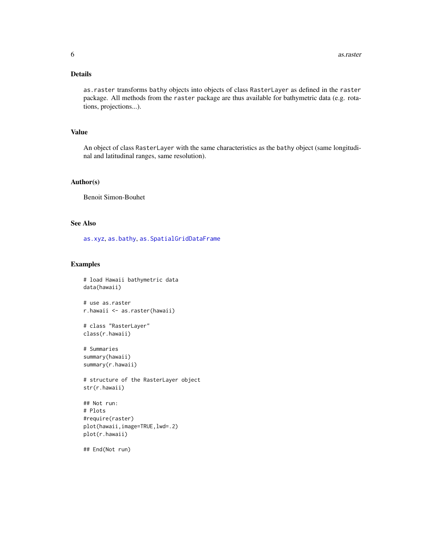# <span id="page-5-0"></span>Details

as.raster transforms bathy objects into objects of class RasterLayer as defined in the raster package. All methods from the raster package are thus available for bathymetric data (e.g. rotations, projections...).

# Value

An object of class RasterLayer with the same characteristics as the bathy object (same longitudinal and latitudinal ranges, same resolution).

# Author(s)

Benoit Simon-Bouhet

# See Also

[as.xyz](#page-7-1), [as.bathy](#page-3-1), [as.SpatialGridDataFrame](#page-6-1)

# Examples

# load Hawaii bathymetric data data(hawaii)

# use as.raster r.hawaii <- as.raster(hawaii)

```
# class "RasterLayer"
class(r.hawaii)
```
# Summaries summary(hawaii) summary(r.hawaii)

# structure of the RasterLayer object str(r.hawaii)

```
## Not run:
# Plots
#require(raster)
plot(hawaii,image=TRUE,lwd=.2)
plot(r.hawaii)
```
## End(Not run)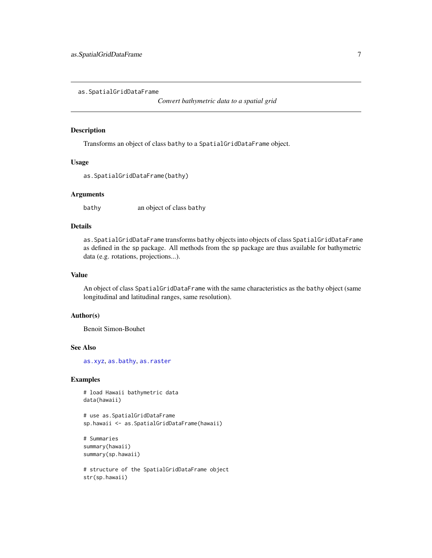<span id="page-6-1"></span><span id="page-6-0"></span>as.SpatialGridDataFrame

*Convert bathymetric data to a spatial grid*

#### Description

Transforms an object of class bathy to a SpatialGridDataFrame object.

# Usage

as.SpatialGridDataFrame(bathy)

#### Arguments

bathy an object of class bathy

# Details

as.SpatialGridDataFrame transforms bathy objects into objects of class SpatialGridDataFrame as defined in the sp package. All methods from the sp package are thus available for bathymetric data (e.g. rotations, projections...).

# Value

An object of class SpatialGridDataFrame with the same characteristics as the bathy object (same longitudinal and latitudinal ranges, same resolution).

## Author(s)

Benoit Simon-Bouhet

#### See Also

[as.xyz](#page-7-1), [as.bathy](#page-3-1), [as.raster](#page-4-1)

# Examples

# load Hawaii bathymetric data data(hawaii)

# use as.SpatialGridDataFrame sp.hawaii <- as.SpatialGridDataFrame(hawaii)

# Summaries summary(hawaii) summary(sp.hawaii)

```
# structure of the SpatialGridDataFrame object
str(sp.hawaii)
```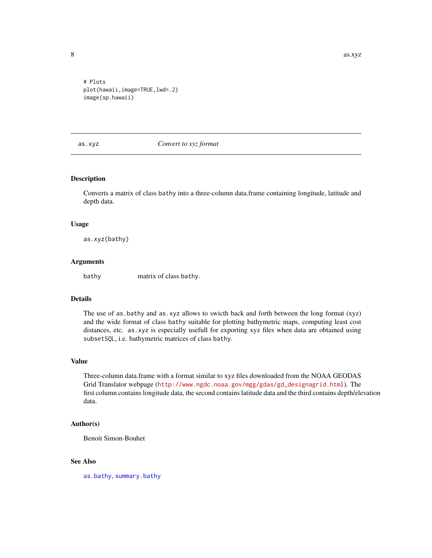8 as.xyz

# Plots plot(hawaii,image=TRUE,lwd=.2) image(sp.hawaii)

<span id="page-7-1"></span>as.xyz *Convert to xyz format*

# Description

Converts a matrix of class bathy into a three-column data.frame containing longitude, latitude and depth data.

#### Usage

as.xyz(bathy)

# Arguments

bathy matrix of class bathy.

# Details

The use of as.bathy and as.xyz allows to swicth back and forth between the long format (xyz) and the wide format of class bathy suitable for plotting bathymetric maps, computing least cost distances, etc. as.xyz is especially usefull for exporting xyz files when data are obtained using subsetSQL, i.e. bathymetric matrices of class bathy.

# Value

Three-column data.frame with a format similar to xyz files downloaded from the NOAA GEODAS Grid Translator webpage ([http://www.ngdc.noaa.gov/mgg/gdas/gd\\_designagrid.html](http://www.ngdc.noaa.gov/mgg/gdas/gd_designagrid.html)). The first column contains longitude data, the second contains latitude data and the third contains depth/elevation data.

#### Author(s)

Benoit Simon-Bouhet

# See Also

[as.bathy](#page-3-1), [summary.bathy](#page-63-1)

<span id="page-7-0"></span>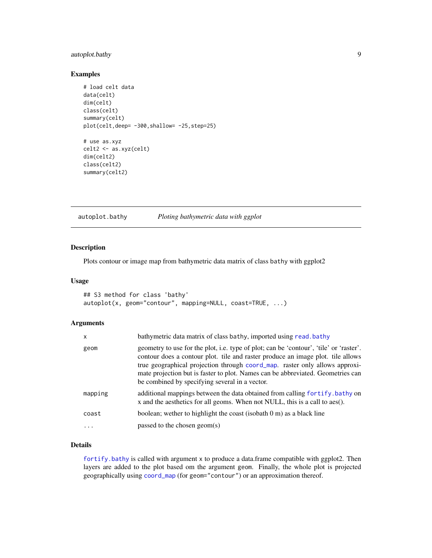# <span id="page-8-0"></span>autoplot.bathy 9

# Examples

```
# load celt data
data(celt)
dim(celt)
class(celt)
summary(celt)
plot(celt,deep= -300,shallow= -25,step=25)
# use as.xyz
celt2 <- as.xyz(celt)
dim(celt2)
class(celt2)
summary(celt2)
```
<span id="page-8-1"></span>autoplot.bathy *Ploting bathymetric data with ggplot*

# Description

Plots contour or image map from bathymetric data matrix of class bathy with ggplot2

## Usage

```
## S3 method for class 'bathy'
autoplot(x, geom="contour", mapping=NULL, coast=TRUE, ...)
```
# Arguments

| X       | bathymetric data matrix of class bathy, imported using read. bathy                                                                                                                                                                                                                                                                                                                            |
|---------|-----------------------------------------------------------------------------------------------------------------------------------------------------------------------------------------------------------------------------------------------------------------------------------------------------------------------------------------------------------------------------------------------|
| geom    | geometry to use for the plot, i.e. type of plot; can be 'contour', 'tile' or 'raster'.<br>contour does a contour plot, tile and raster produce an image plot, tile allows<br>true geographical projection through coord_map. raster only allows approxi-<br>mate projection but is faster to plot. Names can be abbreviated. Geometries can<br>be combined by specifying several in a vector. |
| mapping | additional mappings between the data obtained from calling for tify. bathy on<br>x and the aesthetics for all geoms. When not NULL, this is a call to aes().                                                                                                                                                                                                                                  |
| coast   | boolean; wether to highlight the coast (isobath $0 \text{ m}$ ) as a black line                                                                                                                                                                                                                                                                                                               |
|         | passed to the chosen geom(s)                                                                                                                                                                                                                                                                                                                                                                  |

# Details

[fortify.bathy](#page-21-1) is called with argument x to produce a data.frame compatible with ggplot2. Then layers are added to the plot based om the argument geom. Finally, the whole plot is projected geographically using [coord\\_map](#page-0-0) (for geom="contour") or an approximation thereof.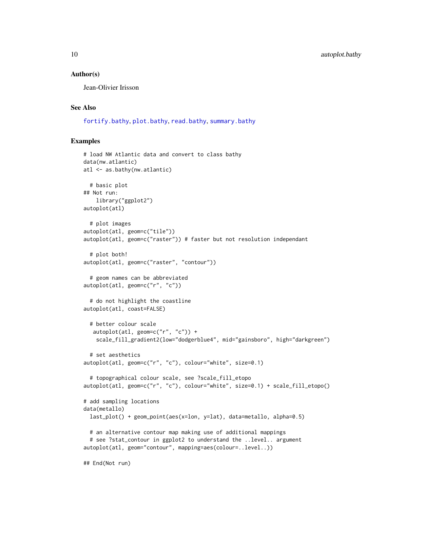#### <span id="page-9-0"></span>Author(s)

Jean-Olivier Irisson

# See Also

[fortify.bathy](#page-21-1), [plot.bathy](#page-46-1), [read.bathy](#page-53-1), [summary.bathy](#page-63-1)

#### Examples

```
# load NW Atlantic data and convert to class bathy
data(nw.atlantic)
atl <- as.bathy(nw.atlantic)
  # basic plot
## Not run:
    library("ggplot2")
autoplot(atl)
  # plot images
autoplot(atl, geom=c("tile"))
autoplot(atl, geom=c("raster")) # faster but not resolution independant
  # plot both!
autoplot(atl, geom=c("raster", "contour"))
  # geom names can be abbreviated
autoplot(atl, geom=c("r", "c"))
  # do not highlight the coastline
autoplot(atl, coast=FALSE)
  # better colour scale
   autoplot(atl, geom=c("r", "c")) +
   scale_fill_gradient2(low="dodgerblue4", mid="gainsboro", high="darkgreen")
  # set aesthetics
autoplot(atl, geom=c("r", "c"), colour="white", size=0.1)
  # topographical colour scale, see ?scale_fill_etopo
autoplot(atl, geom=c("r", "c"), colour="white", size=0.1) + scale_fill_etopo()
# add sampling locations
data(metallo)
  last_plot() + geom_point(aes(x=lon, y=lat), data=metallo, alpha=0.5)
  # an alternative contour map making use of additional mappings
  # see ?stat_contour in ggplot2 to understand the ..level.. argument
autoplot(atl, geom="contour", mapping=aes(colour=..level..))
## End(Not run)
```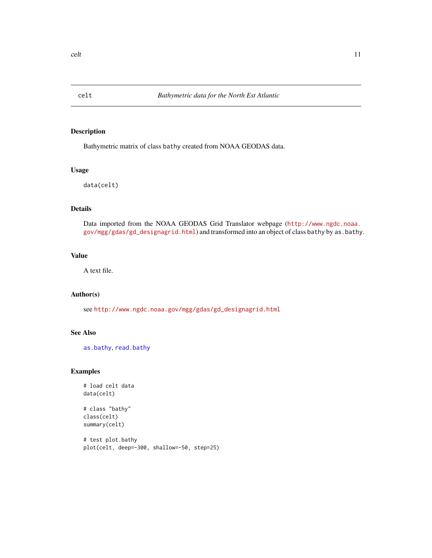<span id="page-10-0"></span>

Bathymetric matrix of class bathy created from NOAA GEODAS data.

# Usage

data(celt)

# Details

Data imported from the NOAA GEODAS Grid Translator webpage ([http://www.ngdc.noaa.](http://www.ngdc.noaa.gov/mgg/gdas/gd_designagrid.html) [gov/mgg/gdas/gd\\_designagrid.html](http://www.ngdc.noaa.gov/mgg/gdas/gd_designagrid.html)) and transformed into an object of class bathy by as.bathy.

# Value

A text file.

# Author(s)

see [http://www.ngdc.noaa.gov/mgg/gdas/gd\\_designagrid.html](http://www.ngdc.noaa.gov/mgg/gdas/gd_designagrid.html)

# See Also

[as.bathy](#page-3-1), [read.bathy](#page-53-1)

# Examples

# load celt data data(celt)

# class "bathy" class(celt) summary(celt)

# test plot.bathy plot(celt, deep=-300, shallow=-50, step=25)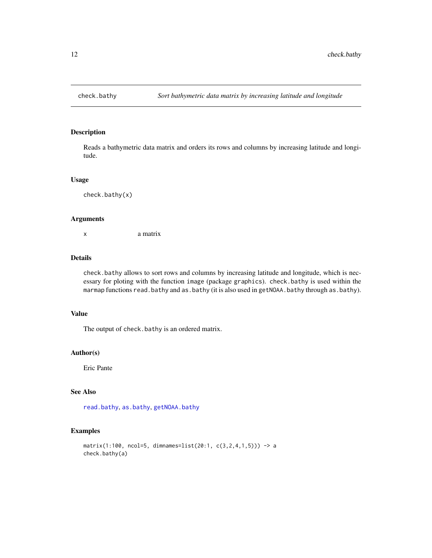<span id="page-11-0"></span>

Reads a bathymetric data matrix and orders its rows and columns by increasing latitude and longitude.

#### Usage

check.bathy(x)

#### Arguments

x a matrix

# Details

check.bathy allows to sort rows and columns by increasing latitude and longitude, which is necessary for ploting with the function image (package graphics). check.bathy is used within the marmap functions read.bathy and as.bathy (it is also used in getNOAA.bathy through as.bathy).

# Value

The output of check.bathy is an ordered matrix.

# Author(s)

Eric Pante

# See Also

[read.bathy](#page-53-1), [as.bathy](#page-3-1), [getNOAA.bathy](#page-31-1)

# Examples

```
matrix(1:100, ncol=5, dimnames=list(20:1, c(3,2,4,1,5))) -> a
check.bathy(a)
```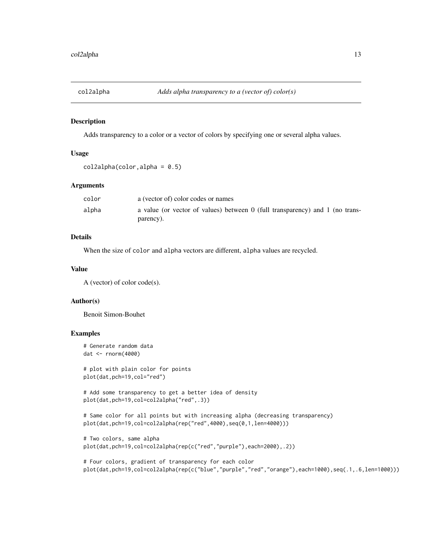<span id="page-12-0"></span>

Adds transparency to a color or a vector of colors by specifying one or several alpha values.

# Usage

```
col2alpha(color, alpha = 0.5)
```
# Arguments

| color | a (vector of) color codes or names                                                         |
|-------|--------------------------------------------------------------------------------------------|
| alpha | a value (or vector of values) between $\theta$ (full transparency) and $\theta$ (no trans- |
|       | parency).                                                                                  |

# Details

When the size of color and alpha vectors are different, alpha values are recycled.

#### Value

A (vector) of color code(s).

# Author(s)

Benoit Simon-Bouhet

# Examples

```
# Generate random data
dat <- rnorm(4000)
```
# plot with plain color for points plot(dat,pch=19,col="red")

# Add some transparency to get a better idea of density plot(dat,pch=19,col=col2alpha("red",.3))

```
# Same color for all points but with increasing alpha (decreasing transparency)
plot(dat,pch=19,col=col2alpha(rep("red",4000),seq(0,1,len=4000)))
```

```
# Two colors, same alpha
plot(dat,pch=19,col=col2alpha(rep(c("red","purple"),each=2000),.2))
```

```
# Four colors, gradient of transparency for each color
plot(dat,pch=19,col=col2alpha(rep(c("blue","purple","red","orange"),each=1000),seq(.1,.6,len=1000)))
```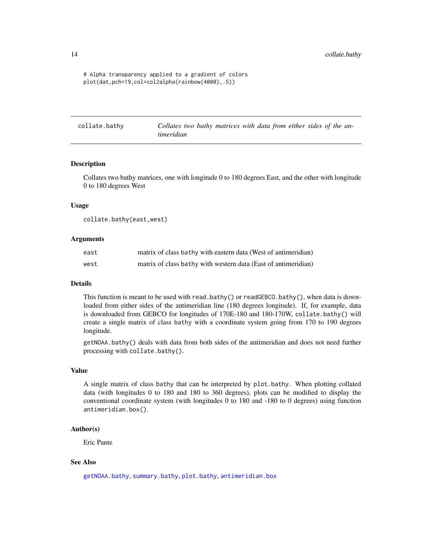<span id="page-13-0"></span># Alpha transparency applied to a gradient of colors plot(dat,pch=19,col=col2alpha(rainbow(4000),.5))

collate.bathy *Collates two bathy matrices with data from either sides of the antimeridian*

#### **Description**

Collates two bathy matrices, one with longitude 0 to 180 degrees East, and the other with longitude 0 to 180 degrees West

# Usage

```
collate.bathy(east,west)
```
# Arguments

| east | matrix of class bathy with eastern data (West of antimeridian) |
|------|----------------------------------------------------------------|
| west | matrix of class bathy with western data (East of antimeridian) |

# Details

This function is meant to be used with read.bathy() or readGEBCO.bathy(), when data is downloaded from either sides of the antimeridian line (180 degrees longitude). If, for example, data is downloaded from GEBCO for longitudes of 170E-180 and 180-170W, collate.bathy() will create a single matrix of class bathy with a coordinate system going from 170 to 190 degrees longitude.

getNOAA.bathy() deals with data from both sides of the antimeridian and does not need further processing with collate.bathy().

#### Value

A single matrix of class bathy that can be interpreted by plot.bathy. When plotting collated data (with longitudes 0 to 180 and 180 to 360 degrees), plots can be modified to display the conventional coordinate system (with longitudes 0 to 180 and -180 to 0 degrees) using function antimeridian.box().

#### Author(s)

Eric Pante

# See Also

[getNOAA.bathy](#page-31-1), [summary.bathy](#page-63-1), [plot.bathy](#page-46-1), [antimeridian.box](#page-2-1)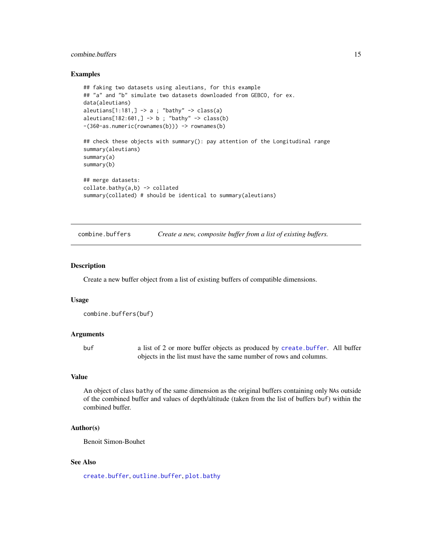# <span id="page-14-0"></span>combine.buffers 15

#### Examples

```
## faking two datasets using aleutians, for this example
## "a" and "b" simulate two datasets downloaded from GEBCO, for ex.
data(aleutians)
aleutians[1:181,] -> a ; "bathy" -> class(a)
aleutians[182:601, ] \rightarrow b ; "bathy" \rightarrow class(b)-(360-as.numeric(rownames(b))) -> rownames(b)
## check these objects with summary(): pay attention of the Longitudinal range
summary(aleutians)
summary(a)
summary(b)
## merge datasets:
collate.bathy(a,b) -> collated
summary(collated) # should be identical to summary(aleutians)
```
<span id="page-14-1"></span>combine.buffers *Create a new, composite buffer from a list of existing buffers.*

# Description

Create a new buffer object from a list of existing buffers of compatible dimensions.

#### Usage

```
combine.buffers(buf)
```
#### Arguments

buf a list of 2 or more buffer objects as produced by [create.buffer](#page-15-1). All buffer objects in the list must have the same number of rows and columns.

# Value

An object of class bathy of the same dimension as the original buffers containing only NAs outside of the combined buffer and values of depth/altitude (taken from the list of buffers buf) within the combined buffer.

#### Author(s)

Benoit Simon-Bouhet

# See Also

[create.buffer](#page-15-1), [outline.buffer](#page-42-1), [plot.bathy](#page-46-1)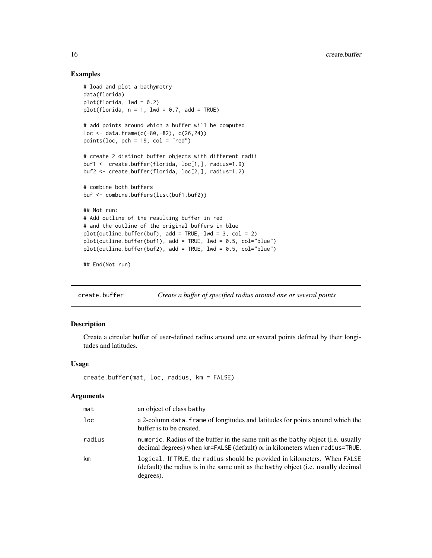# Examples

```
# load and plot a bathymetry
data(florida)
plot(florida, lwd = 0.2)plot(florida, n = 1, lwd = 0.7, add = TRUE)# add points around which a buffer will be computed
loc <- data.frame(c(-80,-82), c(26,24))
points(loc, pch = 19, col = "red")
# create 2 distinct buffer objects with different radii
buf1 <- create.buffer(florida, loc[1,], radius=1.9)
buf2 <- create.buffer(florida, loc[2,], radius=1.2)
# combine both buffers
buf <- combine.buffers(list(buf1,buf2))
## Not run:
# Add outline of the resulting buffer in red
# and the outline of the original buffers in blue
plot(outline.buffer(buf), add = TRUE, lwd = 3, col = 2)plot(outline.buffer(buf1), add = TRUE, lwd = 0.5, col="blue")
plot(outline.buffer(buf2), add = TRUE, lwd = 0.5, col="blue")
```
## End(Not run)

<span id="page-15-1"></span>create.buffer *Create a buffer of specified radius around one or several points*

# Description

Create a circular buffer of user-defined radius around one or several points defined by their longitudes and latitudes.

# Usage

```
create.buffer(mat, loc, radius, km = FALSE)
```
# **Arguments**

| mat    | an object of class bathy                                                                                                                                                     |
|--------|------------------------------------------------------------------------------------------------------------------------------------------------------------------------------|
| loc    | a 2-column data. frame of longitudes and latitudes for points around which the<br>buffer is to be created.                                                                   |
| radius | numeric. Radius of the buffer in the same unit as the bathy object (i.e. usually<br>decimal degrees) when km=FALSE (default) or in kilometers when radius=TRUE.              |
| km     | logical. If TRUE, the radius should be provided in kilometers. When FALSE<br>(default) the radius is in the same unit as the bathy object (i.e. usually decimal<br>degrees). |

<span id="page-15-0"></span>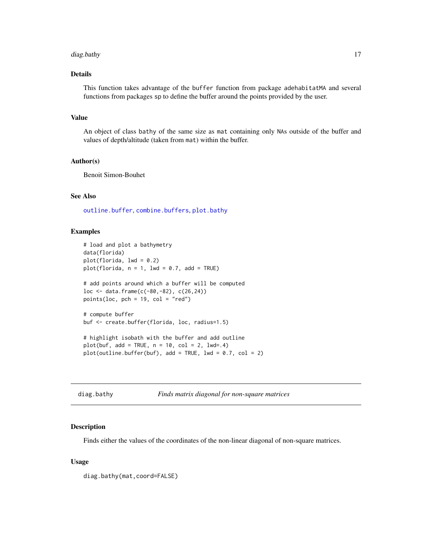#### <span id="page-16-0"></span>diag.bathy 17

# Details

This function takes advantage of the buffer function from package adehabitatMA and several functions from packages sp to define the buffer around the points provided by the user.

# Value

An object of class bathy of the same size as mat containing only NAs outside of the buffer and values of depth/altitude (taken from mat) within the buffer.

# Author(s)

Benoit Simon-Bouhet

# See Also

[outline.buffer](#page-42-1), [combine.buffers](#page-14-1), [plot.bathy](#page-46-1)

# Examples

```
# load and plot a bathymetry
data(florida)
plot(florida, lwd = 0.2)plot(florida, n = 1, lwd = 0.7, add = TRUE)# add points around which a buffer will be computed
loc <- data.frame(c(-80,-82), c(26,24))
points(loc, pch = 19, col = "red")# compute buffer
buf <- create.buffer(florida, loc, radius=1.5)
# highlight isobath with the buffer and add outline
plot(buf, add = TRUE, n = 10, col = 2, lwd=.4)plot(outline.buffer(buf), add = TRUE, lwd = 0.7, col = 2)
```
diag.bathy *Finds matrix diagonal for non-square matrices*

#### Description

Finds either the values of the coordinates of the non-linear diagonal of non-square matrices.

#### Usage

diag.bathy(mat,coord=FALSE)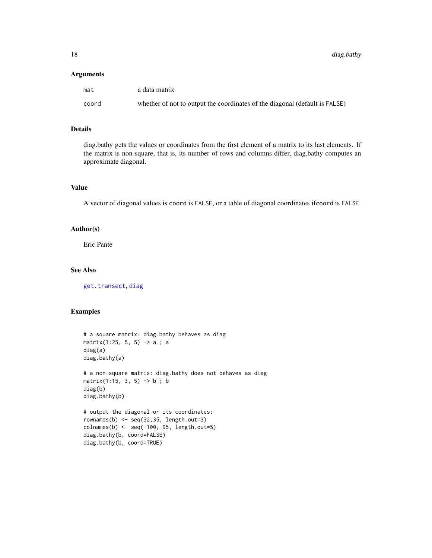<span id="page-17-0"></span>18 diag.bathy

# Arguments

| mat   | a data matrix                                                               |
|-------|-----------------------------------------------------------------------------|
| coord | whether of not to output the coordinates of the diagonal (default is FALSE) |

# Details

diag.bathy gets the values or coordinates from the first element of a matrix to its last elements. If the matrix is non-square, that is, its number of rows and columns differ, diag.bathy computes an approximate diagonal.

# Value

A vector of diagonal values is coord is FALSE, or a table of diagonal coordinates ifcoord is FALSE

# Author(s)

Eric Pante

# See Also

[get.transect](#page-29-1), [diag](#page-0-0)

# Examples

```
# a square matrix: diag.bathy behaves as diag
matrix(1:25, 5, 5) -> a; a
diag(a)
diag.bathy(a)
# a non-square matrix: diag.bathy does not behaves as diag
matrix(1:15, 3, 5) \rightarrow b; b
diag(b)
diag.bathy(b)
# output the diagonal or its coordinates:
rownames(b) \leq seq(32,35, length.out=3)
\text{columns}(b) \leq \text{seq}(-100, -95, \text{length.out=5})diag.bathy(b, coord=FALSE)
diag.bathy(b, coord=TRUE)
```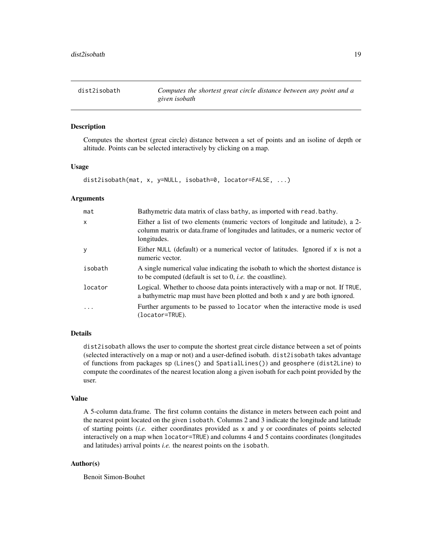<span id="page-18-1"></span><span id="page-18-0"></span>

Computes the shortest (great circle) distance between a set of points and an isoline of depth or altitude. Points can be selected interactively by clicking on a map.

#### Usage

```
dist2isobath(mat, x, y=NULL, isobath=0, locator=FALSE, ...)
```
#### Arguments

| mat     | Bathymetric data matrix of class bathy, as imported with read. bathy.                                                                                                              |
|---------|------------------------------------------------------------------------------------------------------------------------------------------------------------------------------------|
| X       | Either a list of two elements (numeric vectors of longitude and latitude), a 2-<br>column matrix or data. frame of longitudes and latitudes, or a numeric vector of<br>longitudes. |
| y       | Either NULL (default) or a numerical vector of latitudes. Ignored if $x$ is not a<br>numeric vector.                                                                               |
| isobath | A single numerical value indicating the isobath to which the shortest distance is<br>to be computed (default is set to $0$ , <i>i.e.</i> the coastline).                           |
| locator | Logical. Whether to choose data points interactively with a map or not. If TRUE,<br>a bathymetric map must have been plotted and both x and y are both ignored.                    |
| .       | Further arguments to be passed to locator when the interactive mode is used<br>$(locator=TRUE)$ .                                                                                  |

# Details

dist2isobath allows the user to compute the shortest great circle distance between a set of points (selected interactively on a map or not) and a user-defined isobath. dist2isobath takes advantage of functions from packages sp (Lines() and SpatialLines()) and geosphere (dist2Line) to compute the coordinates of the nearest location along a given isobath for each point provided by the user.

# Value

A 5-column data.frame. The first column contains the distance in meters between each point and the nearest point located on the given isobath. Columns 2 and 3 indicate the longitude and latitude of starting points (*i.e.* either coordinates provided as x and y or coordinates of points selected interactively on a map when locator=TRUE) and columns 4 and 5 contains coordinates (longitudes and latitudes) arrival points *i.e.* the nearest points on the isobath.

# Author(s)

Benoit Simon-Bouhet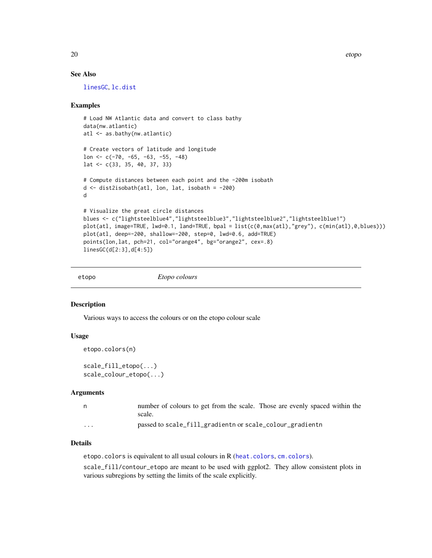<span id="page-19-0"></span>20 etopo etopo etopo etopo etopo etopo etopo etopo etopo etopo etopo etopo etopo etopo etopo etopo etopo etopo

# See Also

[linesGC](#page-36-1), [lc.dist](#page-35-1)

#### Examples

```
# Load NW Atlantic data and convert to class bathy
data(nw.atlantic)
atl <- as.bathy(nw.atlantic)
# Create vectors of latitude and longitude
lon <- c(-70, -65, -63, -55, -48)
lat <- c(33, 35, 40, 37, 33)
# Compute distances between each point and the -200m isobath
d <- dist2isobath(atl, lon, lat, isobath = -200)
d
# Visualize the great circle distances
blues <- c("lightsteelblue4","lightsteelblue3","lightsteelblue2","lightsteelblue1")
plot(atl, image=TRUE, lwd=0.1, land=TRUE, bpal = list(c(0,max(atl),"grey"), c(min(atl),0,blues)))
plot(atl, deep=-200, shallow=-200, step=0, lwd=0.6, add=TRUE)
points(lon,lat, pch=21, col="orange4", bg="orange2", cex=.8)
linesGC(d[2:3],d[4:5])
```
etopo *Etopo colours*

#### Description

Various ways to access the colours or on the etopo colour scale

#### Usage

```
etopo.colors(n)
```
scale\_fill\_etopo(...) scale\_colour\_etopo(...)

#### Arguments

| n        | number of colours to get from the scale. Those are evenly spaced within the<br>scale. |
|----------|---------------------------------------------------------------------------------------|
| $\cdots$ | passed to scale_fill_gradientn or scale_colour_gradientn                              |

# Details

etopo.colors is equivalent to all usual colours in R ([heat.colors](#page-0-0), [cm.colors](#page-0-0)).

scale\_fill/contour\_etopo are meant to be used with ggplot2. They allow consistent plots in various subregions by setting the limits of the scale explicitly.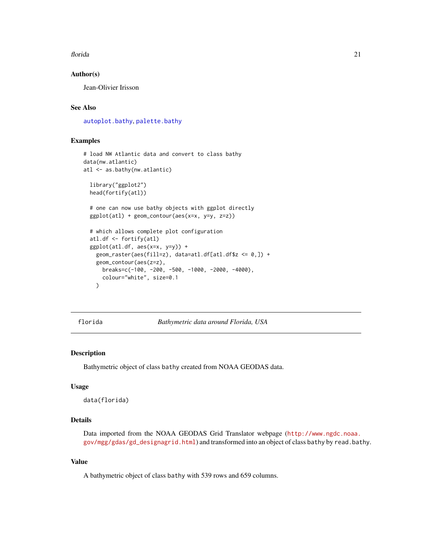#### <span id="page-20-0"></span>florida **21**

# Author(s)

Jean-Olivier Irisson

# See Also

[autoplot.bathy](#page-8-1), [palette.bathy](#page-43-1)

#### Examples

```
# load NW Atlantic data and convert to class bathy
data(nw.atlantic)
atl <- as.bathy(nw.atlantic)
 library("ggplot2")
 head(fortify(atl))
 # one can now use bathy objects with ggplot directly
 ggplot(atl) + geom_contour(aes(x=x, y=y, z=z))
 # which allows complete plot configuration
 atl.df <- fortify(atl)
 ggplot(atl.df, aes(x=x, y=y)) +
   geom_raster(aes(fill=z), data=atl.df[atl.df$z <= 0,]) +
   geom_contour(aes(z=z),
     breaks=c(-100, -200, -500, -1000, -2000, -4000),
     colour="white", size=0.1
   )
```
florida *Bathymetric data around Florida, USA*

# Description

Bathymetric object of class bathy created from NOAA GEODAS data.

#### Usage

```
data(florida)
```
# Details

Data imported from the NOAA GEODAS Grid Translator webpage ([http://www.ngdc.noaa.](http://www.ngdc.noaa.gov/mgg/gdas/gd_designagrid.html) [gov/mgg/gdas/gd\\_designagrid.html](http://www.ngdc.noaa.gov/mgg/gdas/gd_designagrid.html)) and transformed into an object of class bathy by read.bathy.

# Value

A bathymetric object of class bathy with 539 rows and 659 columns.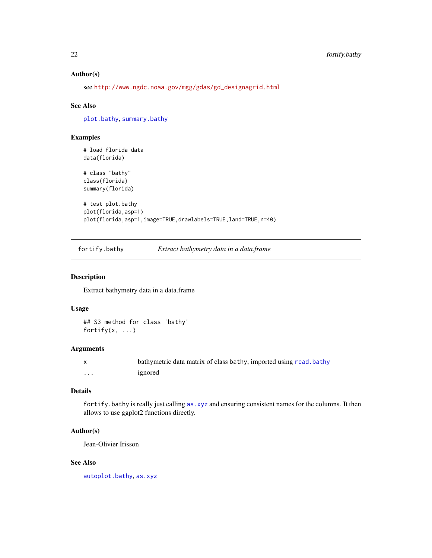# Author(s)

see [http://www.ngdc.noaa.gov/mgg/gdas/gd\\_designagrid.html](http://www.ngdc.noaa.gov/mgg/gdas/gd_designagrid.html)

# See Also

[plot.bathy](#page-46-1), [summary.bathy](#page-63-1)

# Examples

```
# load florida data
data(florida)
# class "bathy"
class(florida)
summary(florida)
# test plot.bathy
plot(florida,asp=1)
plot(florida,asp=1,image=TRUE,drawlabels=TRUE,land=TRUE,n=40)
```
<span id="page-21-1"></span>fortify.bathy *Extract bathymetry data in a data.frame*

# Description

Extract bathymetry data in a data.frame

#### Usage

## S3 method for class 'bathy' fortify $(x, \ldots)$ 

# Arguments

|   | bathymetric data matrix of class bathy, imported using read. bathy |
|---|--------------------------------------------------------------------|
| . | ignored                                                            |

# Details

fortify.bathy is really just calling [as.xyz](#page-7-1) and ensuring consistent names for the columns. It then allows to use ggplot2 functions directly.

# Author(s)

Jean-Olivier Irisson

# See Also

[autoplot.bathy](#page-8-1), [as.xyz](#page-7-1)

<span id="page-21-0"></span>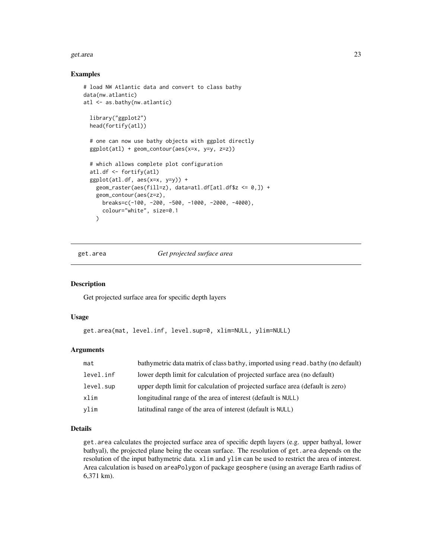#### <span id="page-22-0"></span>get.area 23

# Examples

```
# load NW Atlantic data and convert to class bathy
data(nw.atlantic)
atl <- as.bathy(nw.atlantic)
 library("ggplot2")
 head(fortify(atl))
 # one can now use bathy objects with ggplot directly
 ggplot(atl) + geom_contour(aes(x=x, y=y, z=z))
 # which allows complete plot configuration
 atl.df <- fortify(atl)
 ggplot(atl.df, aes(x=x, y=y)) +
   geom_raster(aes(fill=z), data=atl.df[atl.df$z <= 0,]) +
   geom_contour(aes(z=z),
     breaks=c(-100, -200, -500, -1000, -2000, -4000),
     colour="white", size=0.1
   )
```
#### <span id="page-22-1"></span>get.area *Get projected surface area*

#### Description

Get projected surface area for specific depth layers

# Usage

```
get.area(mat, level.inf, level.sup=0, xlim=NULL, ylim=NULL)
```
#### **Arguments**

| mat       | bathymetric data matrix of class bathy, imported using read. bathy (no default) |
|-----------|---------------------------------------------------------------------------------|
| level.inf | lower depth limit for calculation of projected surface area (no default)        |
| level.sup | upper depth limit for calculation of projected surface area (default is zero)   |
| xlim      | longitudinal range of the area of interest (default is NULL)                    |
| ylim      | latitudinal range of the area of interest (default is NULL)                     |

#### Details

get.area calculates the projected surface area of specific depth layers (e.g. upper bathyal, lower bathyal), the projected plane being the ocean surface. The resolution of get.area depends on the resolution of the input bathymetric data. xlim and ylim can be used to restrict the area of interest. Area calculation is based on areaPolygon of package geosphere (using an average Earth radius of 6,371 km).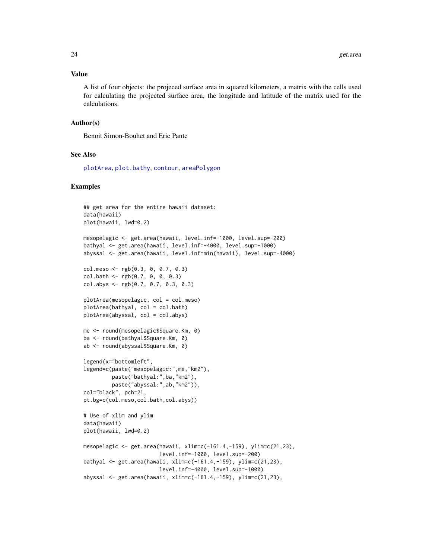# <span id="page-23-0"></span>Value

A list of four objects: the projeced surface area in squared kilometers, a matrix with the cells used for calculating the projected surface area, the longitude and latitude of the matrix used for the calculations.

# Author(s)

Benoit Simon-Bouhet and Eric Pante

# See Also

[plotArea](#page-50-1), [plot.bathy](#page-46-1), [contour](#page-0-0), [areaPolygon](#page-0-0)

# Examples

```
## get area for the entire hawaii dataset:
data(hawaii)
plot(hawaii, lwd=0.2)
mesopelagic <- get.area(hawaii, level.inf=-1000, level.sup=-200)
bathyal <- get.area(hawaii, level.inf=-4000, level.sup=-1000)
abyssal <- get.area(hawaii, level.inf=min(hawaii), level.sup=-4000)
col.meso <- rgb(0.3, 0, 0.7, 0.3)
col.bath \leq rgb(0.7, 0, 0, 0.3)col.abys <- rgb(0.7, 0.7, 0.3, 0.3)
plotArea(mesopelagic, col = col.meso)
plotArea(bathyal, col = col.bath)
plotArea(abyssal, col = col.abys)
me <- round(mesopelagic$Square.Km, 0)
ba <- round(bathyal$Square.Km, 0)
ab <- round(abyssal$Square.Km, 0)
legend(x="bottomleft",
legend=c(paste("mesopelagic:",me,"km2"),
         paste("bathyal:",ba,"km2"),
         paste("abyssal:",ab,"km2")),
col="black", pch=21,
pt.bg=c(col.meso,col.bath,col.abys))
# Use of xlim and ylim
data(hawaii)
plot(hawaii, lwd=0.2)
mesopelagic <- get.area(hawaii, xlim=c(-161.4,-159), ylim=c(21,23),
                        level.inf=-1000, level.sup=-200)
bathyal <- get.area(hawaii, xlim=c(-161.4,-159), ylim=c(21,23),
                        level.inf=-4000, level.sup=-1000)
abyssal <- get.area(hawaii, xlim=c(-161.4,-159), ylim=c(21,23),
```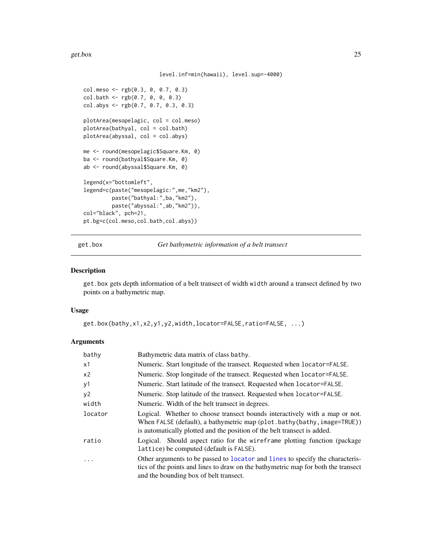#### <span id="page-24-0"></span>get.box 25

```
level.inf=min(hawaii), level.sup=-4000)
```

```
col.meso <- rgb(0.3, 0, 0.7, 0.3)
col.bath <- rgb(0.7, 0, 0, 0.3)
col.abys <- rgb(0.7, 0.7, 0.3, 0.3)
plotArea(mesopelagic, col = col.meso)
plotArea(bathyal, col = col.bath)
plotArea(abyssal, col = col.abys)
me <- round(mesopelagic$Square.Km, 0)
ba <- round(bathyal$Square.Km, 0)
ab <- round(abyssal$Square.Km, 0)
legend(x="bottomleft",
legend=c(paste("mesopelagic:",me,"km2"),
         paste("bathyal:",ba,"km2"),
         paste("abyssal:",ab,"km2")),
col="black", pch=21,
pt.bg=c(col.meso,col.bath,col.abys))
```
get.box *Get bathymetric information of a belt transect*

#### Description

get.box gets depth information of a belt transect of width width around a transect defined by two points on a bathymetric map.

# Usage

get.box(bathy,x1,x2,y1,y2,width,locator=FALSE,ratio=FALSE, ...)

#### Arguments

| bathy   | Bathymetric data matrix of class bathy.                                                                                                                                                                                               |
|---------|---------------------------------------------------------------------------------------------------------------------------------------------------------------------------------------------------------------------------------------|
| x1      | Numeric. Start longitude of the transect. Requested when locator=FALSE.                                                                                                                                                               |
| x2      | Numeric. Stop longitude of the transect. Requested when locator=FALSE.                                                                                                                                                                |
| y1      | Numeric. Start latitude of the transect. Requested when locator=FALSE.                                                                                                                                                                |
| y2      | Numeric. Stop latitude of the transect. Requested when locator=FALSE.                                                                                                                                                                 |
| width   | Numeric. Width of the belt transect in degrees.                                                                                                                                                                                       |
| locator | Logical. Whether to choose transect bounds interactively with a map or not.<br>When FALSE (default), a bathymetric map (plot . bathy (bathy, image=TRUE))<br>is automatically plotted and the position of the belt transect is added. |
| ratio   | Logical. Should aspect ratio for the wireframe plotting function (package<br>lattice) be computed (default is FALSE).                                                                                                                 |
|         | Other arguments to be passed to locator and lines to specify the characteris-<br>tics of the points and lines to draw on the bathymetric map for both the transect<br>and the bounding box of belt transect.                          |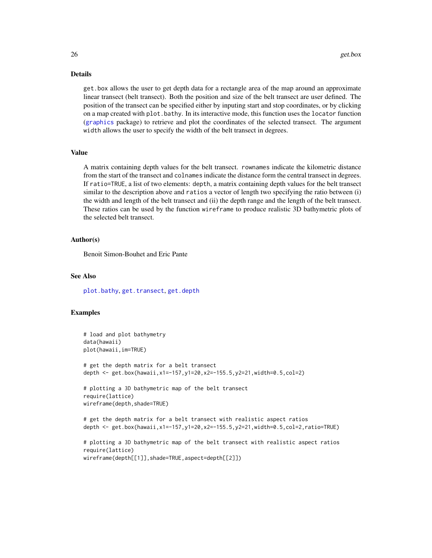# <span id="page-25-0"></span>Details

get.box allows the user to get depth data for a rectangle area of the map around an approximate linear transect (belt transect). Both the position and size of the belt transect are user defined. The position of the transect can be specified either by inputing start and stop coordinates, or by clicking on a map created with plot.bathy. In its interactive mode, this function uses the locator function ([graphics](#page-0-0) package) to retrieve and plot the coordinates of the selected transect. The argument width allows the user to specify the width of the belt transect in degrees.

# Value

A matrix containing depth values for the belt transect. rownames indicate the kilometric distance from the start of the transect and colnames indicate the distance form the central transect in degrees. If ratio=TRUE, a list of two elements: depth, a matrix containing depth values for the belt transect similar to the description above and ratios a vector of length two specifying the ratio between (i) the width and length of the belt transect and (ii) the depth range and the length of the belt transect. These ratios can be used by the function wireframe to produce realistic 3D bathymetric plots of the selected belt transect.

# Author(s)

Benoit Simon-Bouhet and Eric Pante

# See Also

[plot.bathy](#page-46-1), [get.transect](#page-29-1), [get.depth](#page-26-1)

# Examples

```
# load and plot bathymetry
data(hawaii)
plot(hawaii,im=TRUE)
# get the depth matrix for a belt transect
depth <- get.box(hawaii,x1=-157,y1=20,x2=-155.5,y2=21,width=0.5,col=2)
# plotting a 3D bathymetric map of the belt transect
require(lattice)
wireframe(depth,shade=TRUE)
# get the depth matrix for a belt transect with realistic aspect ratios
depth <- get.box(hawaii,x1=-157,y1=20,x2=-155.5,y2=21,width=0.5,col=2,ratio=TRUE)
# plotting a 3D bathymetric map of the belt transect with realistic aspect ratios
require(lattice)
wireframe(depth[[1]],shade=TRUE,aspect=depth[[2]])
```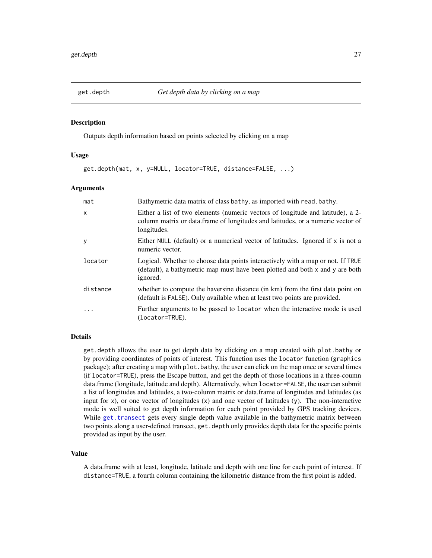<span id="page-26-1"></span><span id="page-26-0"></span>

Outputs depth information based on points selected by clicking on a map

# Usage

get.depth(mat, x, y=NULL, locator=TRUE, distance=FALSE, ...)

#### Arguments

| mat      | Bathymetric data matrix of class bathy, as imported with read.bathy.                                                                                                              |
|----------|-----------------------------------------------------------------------------------------------------------------------------------------------------------------------------------|
| X        | Either a list of two elements (numeric vectors of longitude and latitude), a 2-<br>column matrix or data.frame of longitudes and latitudes, or a numeric vector of<br>longitudes. |
| У        | Either NULL (default) or a numerical vector of latitudes. Ignored if x is not a<br>numeric vector.                                                                                |
| locator  | Logical. Whether to choose data points interactively with a map or not. If TRUE<br>(default), a bathymetric map must have been plotted and both x and y are both<br>ignored.      |
| distance | whether to compute the haversine distance (in km) from the first data point on<br>(default is FALSE). Only available when at least two points are provided.                       |
| .        | Further arguments to be passed to locator when the interactive mode is used<br>$(locator=TRUE)$ .                                                                                 |

# Details

get.depth allows the user to get depth data by clicking on a map created with plot.bathy or by providing coordinates of points of interest. This function uses the locator function (graphics package); after creating a map with plot. bathy, the user can click on the map once or several times (if locator=TRUE), press the Escape button, and get the depth of those locations in a three-coumn data.frame (longitude, latitude and depth). Alternatively, when locator=FALSE, the user can submit a list of longitudes and latitudes, a two-column matrix or data.frame of longitudes and latitudes (as input for  $x$ ), or one vector of longitudes  $(x)$  and one vector of latitudes  $(y)$ . The non-interactive mode is well suited to get depth information for each point provided by GPS tracking devices. While [get.transect](#page-29-1) gets every single depth value available in the bathymetric matrix between two points along a user-defined transect, get.depth only provides depth data for the specific points provided as input by the user.

#### Value

A data.frame with at least, longitude, latitude and depth with one line for each point of interest. If distance=TRUE, a fourth column containing the kilometric distance from the first point is added.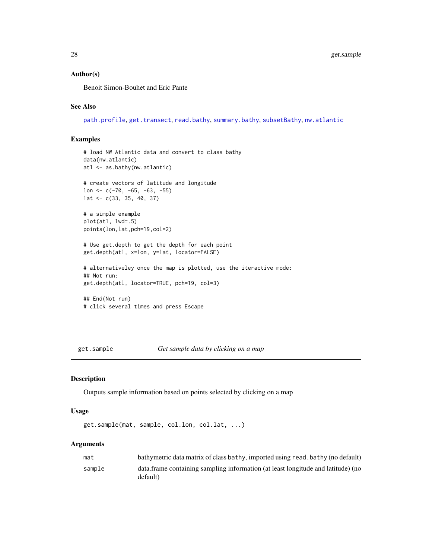## <span id="page-27-0"></span>Author(s)

Benoit Simon-Bouhet and Eric Pante

# See Also

[path.profile](#page-45-1), [get.transect](#page-29-1), [read.bathy](#page-53-1), [summary.bathy](#page-63-1), [subsetBathy](#page-59-1), [nw.atlantic](#page-40-1)

# Examples

```
# load NW Atlantic data and convert to class bathy
data(nw.atlantic)
atl <- as.bathy(nw.atlantic)
# create vectors of latitude and longitude
lon <- c(-70, -65, -63, -55)
lat <- c(33, 35, 40, 37)
# a simple example
plot(atl, lwd=.5)
points(lon,lat,pch=19,col=2)
# Use get.depth to get the depth for each point
get.depth(atl, x=lon, y=lat, locator=FALSE)
# alternativeley once the map is plotted, use the iteractive mode:
## Not run:
get.depth(atl, locator=TRUE, pch=19, col=3)
## End(Not run)
# click several times and press Escape
```
<span id="page-27-1"></span>get.sample *Get sample data by clicking on a map*

#### Description

Outputs sample information based on points selected by clicking on a map

#### Usage

```
get.sample(mat, sample, col.lon, col.lat, ...)
```
#### **Arguments**

| mat    | bathymetric data matrix of class bathy, imported using read. bathy (no default)              |
|--------|----------------------------------------------------------------------------------------------|
| sample | data.frame containing sampling information (at least longitude and latitude) (no<br>default) |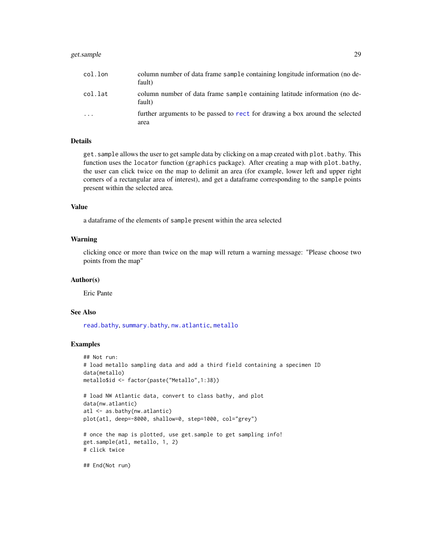# <span id="page-28-0"></span>get.sample 29

| col.lon                 | column number of data frame sample containing longitude information (no de-<br>fault) |
|-------------------------|---------------------------------------------------------------------------------------|
| col.lat                 | column number of data frame sample containing latitude information (no de-<br>fault)  |
| $\cdot$ $\cdot$ $\cdot$ | further arguments to be passed to rect for drawing a box around the selected          |
|                         | area                                                                                  |

# Details

get.sample allows the user to get sample data by clicking on a map created with plot.bathy. This function uses the locator function (graphics package). After creating a map with plot.bathy, the user can click twice on the map to delimit an area (for example, lower left and upper right corners of a rectangular area of interest), and get a dataframe corresponding to the sample points present within the selected area.

# Value

a dataframe of the elements of sample present within the area selected

#### Warning

clicking once or more than twice on the map will return a warning message: "Please choose two points from the map"

# Author(s)

Eric Pante

#### See Also

[read.bathy](#page-53-1), [summary.bathy](#page-63-1), [nw.atlantic](#page-40-1), [metallo](#page-39-1)

# Examples

```
## Not run:
# load metallo sampling data and add a third field containing a specimen ID
data(metallo)
metallo$id <- factor(paste("Metallo",1:38))
# load NW Atlantic data, convert to class bathy, and plot
data(nw.atlantic)
atl <- as.bathy(nw.atlantic)
plot(atl, deep=-8000, shallow=0, step=1000, col="grey")
# once the map is plotted, use get.sample to get sampling info!
get.sample(atl, metallo, 1, 2)
# click twice
## End(Not run)
```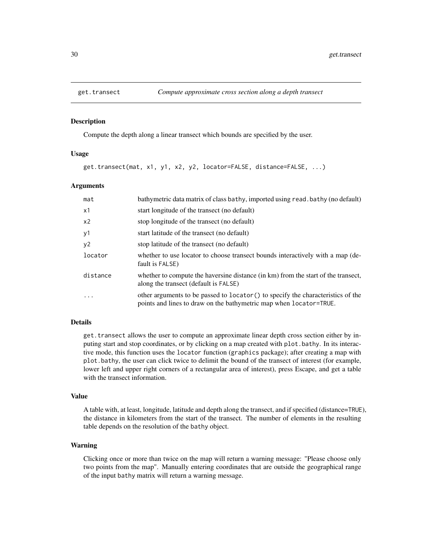<span id="page-29-1"></span><span id="page-29-0"></span>

Compute the depth along a linear transect which bounds are specified by the user.

# Usage

get.transect(mat, x1, y1, x2, y2, locator=FALSE, distance=FALSE, ...)

#### Arguments

| mat                     | bathymetric data matrix of class bathy, imported using read. bathy (no default)                                                                        |
|-------------------------|--------------------------------------------------------------------------------------------------------------------------------------------------------|
| x1                      | start longitude of the transect (no default)                                                                                                           |
| x2                      | stop longitude of the transect (no default)                                                                                                            |
| y1                      | start latitude of the transect (no default)                                                                                                            |
| y2                      | stop latitude of the transect (no default)                                                                                                             |
| locator                 | whether to use locator to choose transect bounds interactively with a map (de-<br>fault is FALSE)                                                      |
| distance                | whether to compute the haversine distance (in km) from the start of the transect,<br>along the transect (default is FALSE)                             |
| $\cdot$ $\cdot$ $\cdot$ | other arguments to be passed to locator () to specify the characteristics of the<br>points and lines to draw on the bathymetric map when locator=TRUE. |

# Details

get.transect allows the user to compute an approximate linear depth cross section either by inputing start and stop coordinates, or by clicking on a map created with plot.bathy. In its interactive mode, this function uses the locator function (graphics package); after creating a map with plot.bathy, the user can click twice to delimit the bound of the transect of interest (for example, lower left and upper right corners of a rectangular area of interest), press Escape, and get a table with the transect information.

#### Value

A table with, at least, longitude, latitude and depth along the transect, and if specified (distance=TRUE), the distance in kilometers from the start of the transect. The number of elements in the resulting table depends on the resolution of the bathy object.

# Warning

Clicking once or more than twice on the map will return a warning message: "Please choose only two points from the map". Manually entering coordinates that are outside the geographical range of the input bathy matrix will return a warning message.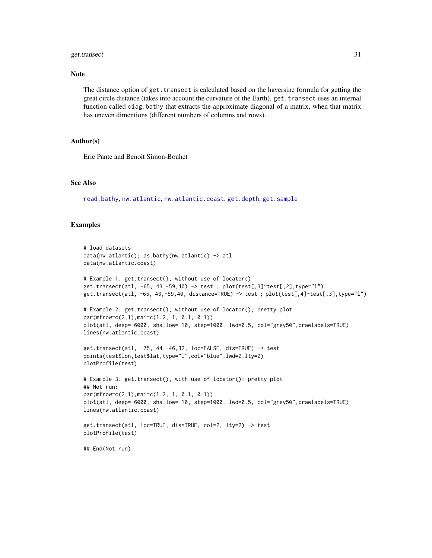# <span id="page-30-0"></span>get.transect 31

# Note

The distance option of get.transect is calculated based on the haversine formula for getting the great circle distance (takes into account the curvature of the Earth). get.transect uses an internal function called diag.bathy that extracts the approximate diagonal of a matrix, when that matrix has uneven dimentions (different numbers of columns and rows).

# Author(s)

Eric Pante and Benoit Simon-Bouhet

# See Also

[read.bathy](#page-53-1), [nw.atlantic](#page-40-1), [nw.atlantic.coast](#page-41-1), [get.depth](#page-26-1), [get.sample](#page-27-1)

# Examples

```
# load datasets
data(nw.atlantic); as.bathy(nw.atlantic) -> atl
data(nw.atlantic.coast)
# Example 1. get.transect(), without use of locator()
get.transect(atl, -65, 43,-59,40) -> test ; plot(test[,3]~test[,2],type="l")
get.transect(atl, -65, 43,-59,40, distance=TRUE) -> test ; plot(test[,4]~test[,3],type="l")
# Example 2. get.transect(), without use of locator(); pretty plot
par(mfrow=c(2,1),mai=c(1.2, 1, 0.1, 0.1))
plot(atl, deep=-6000, shallow=-10, step=1000, lwd=0.5, col="grey50",drawlabels=TRUE)
lines(nw.atlantic.coast)
get.transect(atl, -75, 44,-46,32, loc=FALSE, dis=TRUE) -> test
points(test$lon,test$lat,type="l",col="blue",lwd=2,lty=2)
plotProfile(test)
# Example 3. get.transect(), with use of locator(); pretty plot
## Not run:
par(mfrow=c(2,1),mai=c(1.2, 1, 0.1, 0.1))
plot(atl, deep=-6000, shallow=-10, step=1000, lwd=0.5, col="grey50",drawlabels=TRUE)
lines(nw.atlantic.coast)
get.transect(atl, loc=TRUE, dis=TRUE, col=2, lty=2) -> test
plotProfile(test)
## End(Not run)
```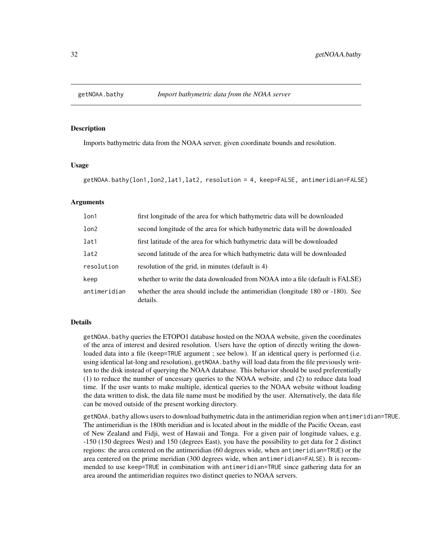<span id="page-31-1"></span><span id="page-31-0"></span>

Imports bathymetric data from the NOAA server, given coordinate bounds and resolution.

# Usage

getNOAA.bathy(lon1,lon2,lat1,lat2, resolution = 4, keep=FALSE, antimeridian=FALSE)

# Arguments

| 1 <sub>on1</sub> | first longitude of the area for which bathymetric data will be downloaded                 |
|------------------|-------------------------------------------------------------------------------------------|
| 1 <sub>on2</sub> | second longitude of the area for which bathymetric data will be downloaded                |
| lat1             | first latitude of the area for which bathymetric data will be downloaded                  |
| lat2             | second latitude of the area for which bathymetric data will be downloaded                 |
| resolution       | resolution of the grid, in minutes (default is 4)                                         |
| keep             | whether to write the data downloaded from NOAA into a file (default is FALSE)             |
| antimeridian     | whether the area should include the antimeridian (longitude 180 or -180). See<br>details. |

#### Details

getNOAA.bathy queries the ETOPO1 database hosted on the NOAA website, given the coordinates of the area of interest and desired resolution. Users have the option of directly writing the downloaded data into a file (keep=TRUE argument ; see below). If an identical query is performed (i.e. using identical lat-long and resolution), getNOAA.bathy will load data from the file previously written to the disk instead of querying the NOAA database. This behavior should be used preferentially (1) to reduce the number of uncessary queries to the NOAA website, and (2) to reduce data load time. If the user wants to make multiple, identical queries to the NOAA website without loading the data written to disk, the data file name must be modified by the user. Alternatively, the data file can be moved outside of the present working directory.

getNOAA.bathy allows users to download bathymetric data in the antimeridian region when antimeridian=TRUE. The antimeridian is the 180th meridian and is located about in the middle of the Pacific Ocean, east of New Zealand and Fidji, west of Hawaii and Tonga. For a given pair of longitude values, e.g. -150 (150 degrees West) and 150 (degrees East), you have the possibility to get data for 2 distinct regions: the area centered on the antimeridian (60 degrees wide, when antimeridian=TRUE) or the area centered on the prime meridian (300 degrees wide, when antimeridian=FALSE). It is recommended to use keep=TRUE in combination with antimeridian=TRUE since gathering data for an area around the antimeridian requires two distinct queries to NOAA servers.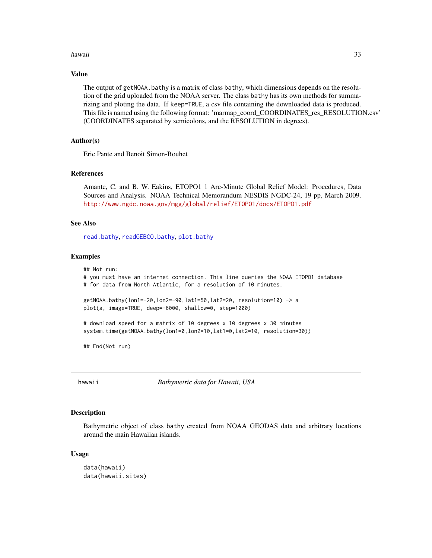#### <span id="page-32-0"></span>hawaii 33

#### Value

The output of getNOAA.bathy is a matrix of class bathy, which dimensions depends on the resolution of the grid uploaded from the NOAA server. The class bathy has its own methods for summarizing and ploting the data. If keep=TRUE, a csv file containing the downloaded data is produced. This file is named using the following format: 'marmap\_coord\_COORDINATES\_res\_RESOLUTION.csv' (COORDINATES separated by semicolons, and the RESOLUTION in degrees).

# Author(s)

Eric Pante and Benoit Simon-Bouhet

# References

Amante, C. and B. W. Eakins, ETOPO1 1 Arc-Minute Global Relief Model: Procedures, Data Sources and Analysis. NOAA Technical Memorandum NESDIS NGDC-24, 19 pp, March 2009. <http://www.ngdc.noaa.gov/mgg/global/relief/ETOPO1/docs/ETOPO1.pdf>

# See Also

[read.bathy](#page-53-1), [readGEBCO.bathy](#page-54-1), [plot.bathy](#page-46-1)

# Examples

```
## Not run:
# you must have an internet connection. This line queries the NOAA ETOPO1 database
# for data from North Atlantic, for a resolution of 10 minutes.
getNOAA.bathy(lon1=-20,lon2=-90,lat1=50,lat2=20, resolution=10) -> a
plot(a, image=TRUE, deep=-6000, shallow=0, step=1000)
# download speed for a matrix of 10 degrees x 10 degrees x 30 minutes
system.time(getNOAA.bathy(lon1=0,lon2=10,lat1=0,lat2=10, resolution=30))
## End(Not run)
```
<span id="page-32-1"></span>

hawaii *Bathymetric data for Hawaii, USA*

# **Description**

Bathymetric object of class bathy created from NOAA GEODAS data and arbitrary locations around the main Hawaiian islands.

#### Usage

```
data(hawaii)
data(hawaii.sites)
```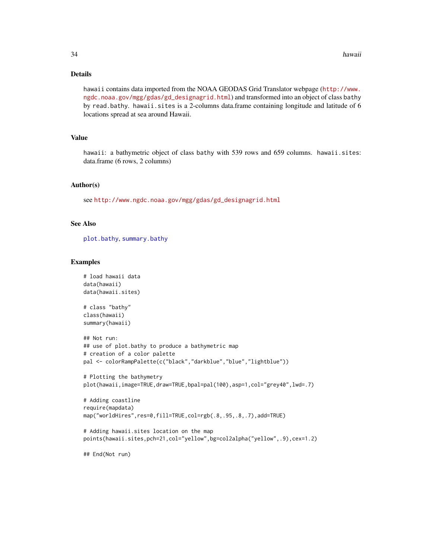# Details

hawaii contains data imported from the NOAA GEODAS Grid Translator webpage ([http://www.](http://www.ngdc.noaa.gov/mgg/gdas/gd_designagrid.html) [ngdc.noaa.gov/mgg/gdas/gd\\_designagrid.html](http://www.ngdc.noaa.gov/mgg/gdas/gd_designagrid.html)) and transformed into an object of class bathy by read.bathy. hawaii.sites is a 2-columns data.frame containing longitude and latitude of 6 locations spread at sea around Hawaii.

# Value

hawaii: a bathymetric object of class bathy with 539 rows and 659 columns. hawaii.sites: data.frame (6 rows, 2 columns)

# Author(s)

see [http://www.ngdc.noaa.gov/mgg/gdas/gd\\_designagrid.html](http://www.ngdc.noaa.gov/mgg/gdas/gd_designagrid.html)

# See Also

[plot.bathy](#page-46-1), [summary.bathy](#page-63-1)

#### Examples

```
# load hawaii data
data(hawaii)
data(hawaii.sites)
# class "bathy"
class(hawaii)
summary(hawaii)
## Not run:
## use of plot.bathy to produce a bathymetric map
# creation of a color palette
pal <- colorRampPalette(c("black","darkblue","blue","lightblue"))
# Plotting the bathymetry
plot(hawaii,image=TRUE,draw=TRUE,bpal=pal(100),asp=1,col="grey40",lwd=.7)
# Adding coastline
require(mapdata)
map("worldHires",res=0,fill=TRUE,col=rgb(.8,.95,.8,.7),add=TRUE)
# Adding hawaii.sites location on the map
points(hawaii.sites,pch=21,col="yellow",bg=col2alpha("yellow",.9),cex=1.2)
## End(Not run)
```
<span id="page-33-0"></span>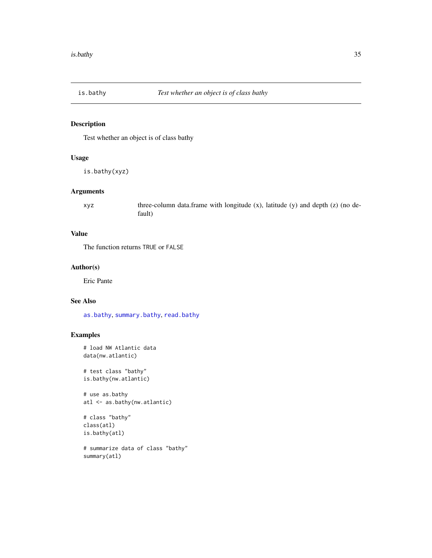<span id="page-34-0"></span>

Test whether an object is of class bathy

#### Usage

is.bathy(xyz)

# Arguments

xyz three-column data.frame with longitude (x), latitude (y) and depth (z) (no default)

# Value

The function returns TRUE or FALSE

# Author(s)

Eric Pante

# See Also

[as.bathy](#page-3-1), [summary.bathy](#page-63-1), [read.bathy](#page-53-1)

# Examples

```
# load NW Atlantic data
data(nw.atlantic)
```
# test class "bathy" is.bathy(nw.atlantic)

# use as.bathy atl <- as.bathy(nw.atlantic)

```
# class "bathy"
class(atl)
is.bathy(atl)
```
# summarize data of class "bathy" summary(atl)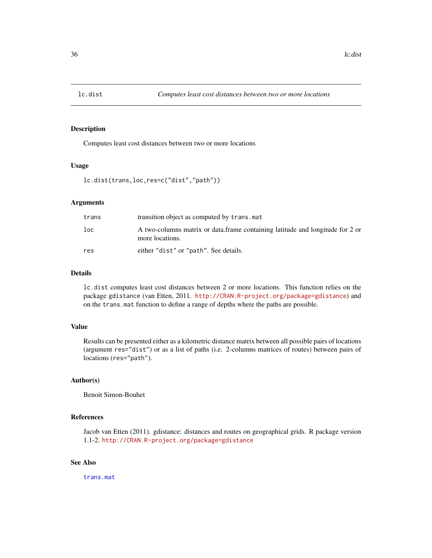<span id="page-35-1"></span><span id="page-35-0"></span>

Computes least cost distances between two or more locations

#### Usage

```
lc.dist(trans,loc,res=c("dist","path"))
```
## Arguments

| trans | transition object as computed by trans. mat                                                      |
|-------|--------------------------------------------------------------------------------------------------|
| loc   | A two-columns matrix or data.frame containing latitude and longitude for 2 or<br>more locations. |
| res   | either "dist" or "path". See details.                                                            |

# Details

lc.dist computes least cost distances between 2 or more locations. This function relies on the package gdistance (van Etten, 2011. <http://CRAN.R-project.org/package=gdistance>) and on the trans.mat function to define a range of depths where the paths are possible.

# Value

Results can be presented either as a kilometric distance matrix between all possible pairs of locations (argument res="dist") or as a list of paths (i.e. 2-columns matrices of routes) between pairs of locations (res="path").

# Author(s)

Benoit Simon-Bouhet

# References

Jacob van Etten (2011). gdistance: distances and routes on geographical grids. R package version 1.1-2. <http://CRAN.R-project.org/package=gdistance>

# See Also

[trans.mat](#page-64-1)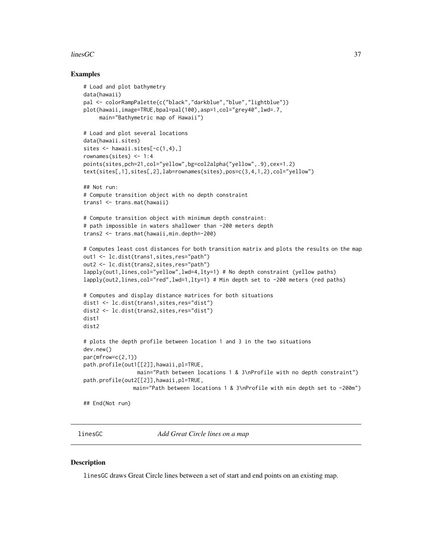# <span id="page-36-0"></span>linesGC 37

# Examples

```
# Load and plot bathymetry
data(hawaii)
pal <- colorRampPalette(c("black","darkblue","blue","lightblue"))
plot(hawaii,image=TRUE,bpal=pal(100),asp=1,col="grey40",lwd=.7,
     main="Bathymetric map of Hawaii")
# Load and plot several locations
data(hawaii.sites)
sites <- hawaii.sites[-c(1,4),]
rownames(sites) <-1:4points(sites,pch=21,col="yellow",bg=col2alpha("yellow",.9),cex=1.2)
text(sites[,1],sites[,2],lab=rownames(sites),pos=c(3,4,1,2),col="yellow")
## Not run:
# Compute transition object with no depth constraint
trans1 <- trans.mat(hawaii)
# Compute transition object with minimum depth constraint:
# path impossible in waters shallower than -200 meters depth
trans2 <- trans.mat(hawaii,min.depth=-200)
# Computes least cost distances for both transition matrix and plots the results on the map
out1 <- lc.dist(trans1,sites,res="path")
out2 <- lc.dist(trans2,sites,res="path")
lapply(out1,lines,col="yellow",lwd=4,lty=1) # No depth constraint (yellow paths)
lapply(out2,lines,col="red",lwd=1,lty=1) # Min depth set to -200 meters (red paths)
# Computes and display distance matrices for both situations
dist1 <- lc.dist(trans1,sites,res="dist")
dist2 <- lc.dist(trans2,sites,res="dist")
dist1
dist2
# plots the depth profile between location 1 and 3 in the two situations
dev.new()
par(mfrow=c(2,1))
path.profile(out1[[2]],hawaii,pl=TRUE,
                 main="Path between locations 1 & 3\nProfile with no depth constraint")
path.profile(out2[[2]],hawaii,pl=TRUE,
               main="Path between locations 1 & 3\nProfile with min depth set to -200m")
## End(Not run)
```
<span id="page-36-1"></span>linesGC *Add Great Circle lines on a map*

#### Description

linesGC draws Great Circle lines between a set of start and end points on an existing map.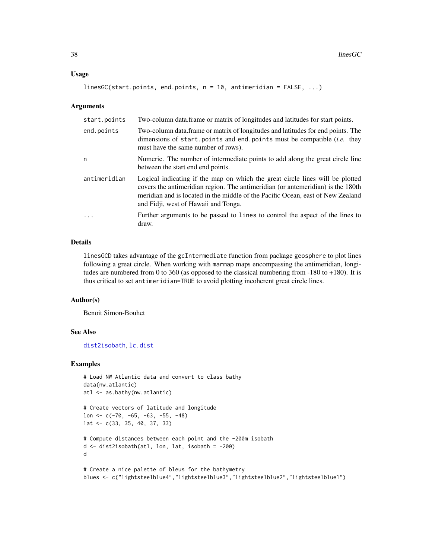#### <span id="page-37-0"></span>Usage

```
linesGC(start.points, end.points, n = 10, antimeridian = FALSE, ...)
```
#### Arguments

| start.points | Two-column data. frame or matrix of longitudes and latitudes for start points.                                                                                                                                                                                                              |
|--------------|---------------------------------------------------------------------------------------------------------------------------------------------------------------------------------------------------------------------------------------------------------------------------------------------|
| end.points   | Two-column data.frame or matrix of longitudes and latitudes for end points. The<br>dimensions of start. points and end. points must be compatible <i>(i.e.</i> they<br>must have the same number of rows).                                                                                  |
| n            | Numeric. The number of intermediate points to add along the great circle line<br>between the start end end points.                                                                                                                                                                          |
| antimeridian | Logical indicating if the map on which the great circle lines will be plotted<br>covers the antimeridian region. The antimeridian (or antemeridian) is the 180th<br>meridian and is located in the middle of the Pacific Ocean, east of New Zealand<br>and Fidji, west of Hawaii and Tonga. |
| $\ddots$ .   | Further arguments to be passed to lines to control the aspect of the lines to<br>draw.                                                                                                                                                                                                      |

# Details

linesGCD takes advantage of the gcIntermediate function from package geosphere to plot lines following a great circle. When working with marmap maps encompassing the antimeridian, longitudes are numbered from 0 to 360 (as opposed to the classical numbering from -180 to +180). It is thus critical to set antimeridian=TRUE to avoid plotting incoherent great circle lines.

# Author(s)

Benoit Simon-Bouhet

# See Also

[dist2isobath](#page-18-1), [lc.dist](#page-35-1)

#### Examples

```
# Load NW Atlantic data and convert to class bathy
data(nw.atlantic)
atl <- as.bathy(nw.atlantic)
# Create vectors of latitude and longitude
lon <- c(-70, -65, -63, -55, -48)
lat <- c(33, 35, 40, 37, 33)
# Compute distances between each point and the -200m isobath
d <- dist2isobath(atl, lon, lat, isobath = -200)
d
# Create a nice palette of bleus for the bathymetry
blues <- c("lightsteelblue4","lightsteelblue3","lightsteelblue2","lightsteelblue1")
```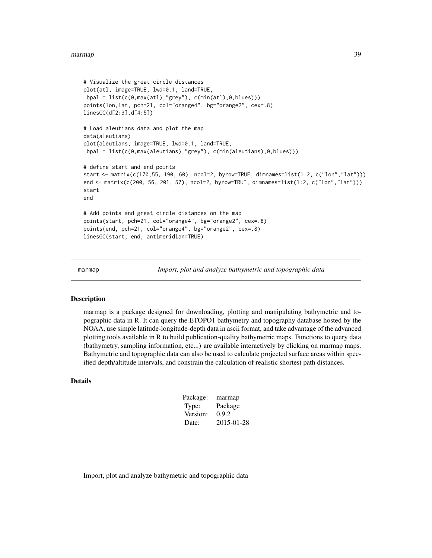#### <span id="page-38-0"></span>marmap 39

```
# Visualize the great circle distances
plot(atl, image=TRUE, lwd=0.1, land=TRUE,
bpal = list(c(\theta, max(at1), "grey"), c(min(at1), \theta, blues)))points(lon,lat, pch=21, col="orange4", bg="orange2", cex=.8)
linesGC(d[2:3],d[4:5])
# Load aleutians data and plot the map
data(aleutians)
plot(aleutians, image=TRUE, lwd=0.1, land=TRUE,
bpal = list(c(0,max(aleutians),"grey"), c(min(aleutians),0,blues)))
# define start and end points
start <- matrix(c(170,55, 190, 60), ncol=2, byrow=TRUE, dimnames=list(1:2, c("lon","lat")))
end <- matrix(c(200, 56, 201, 57), ncol=2, byrow=TRUE, dimnames=list(1:2, c("lon","lat")))
start
end
# Add points and great circle distances on the map
points(start, pch=21, col="orange4", bg="orange2", cex=.8)
points(end, pch=21, col="orange4", bg="orange2", cex=.8)
linesGC(start, end, antimeridian=TRUE)
```
marmap *Import, plot and analyze bathymetric and topographic data*

# Description

marmap is a package designed for downloading, plotting and manipulating bathymetric and topographic data in R. It can query the ETOPO1 bathymetry and topography database hosted by the NOAA, use simple latitude-longitude-depth data in ascii format, and take advantage of the advanced plotting tools available in R to build publication-quality bathymetric maps. Functions to query data (bathymetry, sampling information, etc...) are available interactively by clicking on marmap maps. Bathymetric and topographic data can also be used to calculate projected surface areas within specified depth/altitude intervals, and constrain the calculation of realistic shortest path distances.

#### Details

| Package: | marmap     |
|----------|------------|
| Type:    | Package    |
| Version: | 0.9.2      |
| Date:    | 2015-01-28 |
|          |            |

Import, plot and analyze bathymetric and topographic data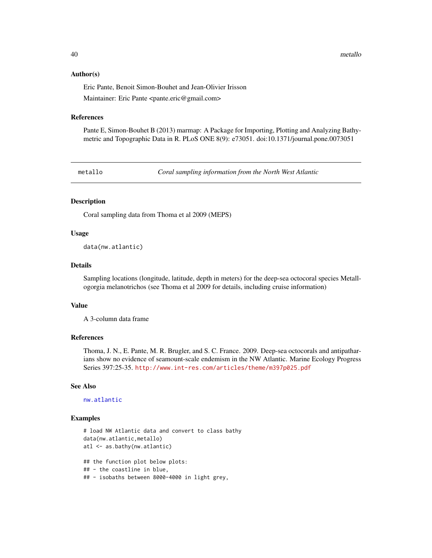<span id="page-39-0"></span>40 metallo

#### Author(s)

Eric Pante, Benoit Simon-Bouhet and Jean-Olivier Irisson

Maintainer: Eric Pante <pante.eric@gmail.com>

#### References

Pante E, Simon-Bouhet B (2013) marmap: A Package for Importing, Plotting and Analyzing Bathymetric and Topographic Data in R. PLoS ONE 8(9): e73051. doi:10.1371/journal.pone.0073051

<span id="page-39-1"></span>metallo *Coral sampling information from the North West Atlantic*

# Description

Coral sampling data from Thoma et al 2009 (MEPS)

# Usage

data(nw.atlantic)

#### Details

Sampling locations (longitude, latitude, depth in meters) for the deep-sea octocoral species Metallogorgia melanotrichos (see Thoma et al 2009 for details, including cruise information)

#### Value

A 3-column data frame

# References

Thoma, J. N., E. Pante, M. R. Brugler, and S. C. France. 2009. Deep-sea octocorals and antipatharians show no evidence of seamount-scale endemism in the NW Atlantic. Marine Ecology Progress Series 397:25-35. <http://www.int-res.com/articles/theme/m397p025.pdf>

#### See Also

[nw.atlantic](#page-40-1)

#### Examples

```
# load NW Atlantic data and convert to class bathy
data(nw.atlantic,metallo)
atl <- as.bathy(nw.atlantic)
```
## the function plot below plots: ## - the coastline in blue,

## - isobaths between 8000-4000 in light grey,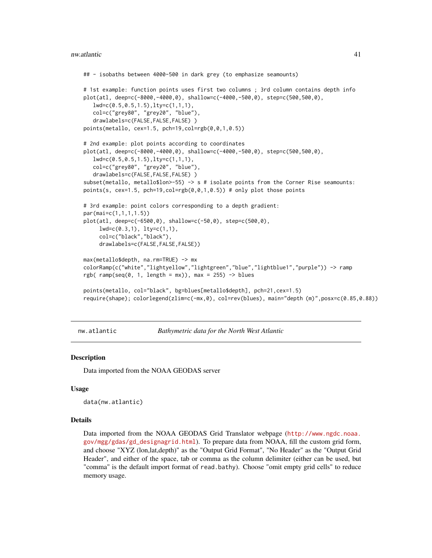#### <span id="page-40-0"></span>nw.atlantic 41

```
## - isobaths between 4000-500 in dark grey (to emphasize seamounts)
# 1st example: function points uses first two columns ; 3rd column contains depth info
plot(atl, deep=c(-8000,-4000,0), shallow=c(-4000,-500,0), step=c(500,500,0),
  lwd=c(0.5,0.5,1.5),lty=c(1,1,1),
  col=c("grey80", "grey20", "blue"),
   drawlabels=c(FALSE,FALSE,FALSE) )
points(metallo, cex=1.5, pch=19,col=rgb(0,0,1,0.5))
# 2nd example: plot points according to coordinates
plot(atl, deep=c(-8000,-4000,0), shallow=c(-4000,-500,0), step=c(500,500,0),
  lwd=c(0.5,0.5,1.5),lty=c(1,1,1),
   col=c("grey80", "grey20", "blue"),
   drawlabels=c(FALSE,FALSE,FALSE) )
subset(metallo, metallo$lon>-55) -> s # isolate points from the Corner Rise seamounts:
points(s, cex=1.5, pch=19,col=rgb(0,0,1,0.5)) # only plot those points
# 3rd example: point colors corresponding to a depth gradient:
par(mai=c(1,1,1,1.5))
plot(atl, deep=c(-6500,0), shallow=c(-50,0), step=c(500,0),
     lwd=c(0.3,1), lty=c(1,1),col=c("black","black"),
     drawlabels=c(FALSE,FALSE,FALSE))
max(metallo$depth, na.rm=TRUE) -> mx
colorRamp(c("white","lightyellow","lightgreen","blue","lightblue1","purple")) -> ramp
rgb( ramp(seq(0, 1, length = mx)), max = 255) \rightarrow blues
points(metallo, col="black", bg=blues[metallo$depth], pch=21,cex=1.5)
require(shape); colorlegend(zlim=c(-mx,0), col=rev(blues), main="depth (m)",posx=c(0.85,0.88))
```
<span id="page-40-1"></span>nw.atlantic *Bathymetric data for the North West Atlantic*

#### **Description**

Data imported from the NOAA GEODAS server

# Usage

```
data(nw.atlantic)
```
#### Details

Data imported from the NOAA GEODAS Grid Translator webpage ([http://www.ngdc.noaa.](http://www.ngdc.noaa.gov/mgg/gdas/gd_designagrid.html) [gov/mgg/gdas/gd\\_designagrid.html](http://www.ngdc.noaa.gov/mgg/gdas/gd_designagrid.html)). To prepare data from NOAA, fill the custom grid form, and choose "XYZ (lon,lat,depth)" as the "Output Grid Format", "No Header" as the "Output Grid Header", and either of the space, tab or comma as the column delimiter (either can be used, but "comma" is the default import format of read.bathy). Choose "omit empty grid cells" to reduce memory usage.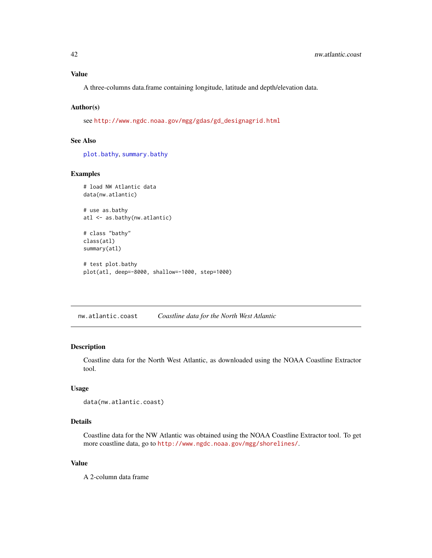<span id="page-41-0"></span>A three-columns data.frame containing longitude, latitude and depth/elevation data.

# Author(s)

see [http://www.ngdc.noaa.gov/mgg/gdas/gd\\_designagrid.html](http://www.ngdc.noaa.gov/mgg/gdas/gd_designagrid.html)

# See Also

[plot.bathy](#page-46-1), [summary.bathy](#page-63-1)

# Examples

```
# load NW Atlantic data
data(nw.atlantic)
```
# use as.bathy atl <- as.bathy(nw.atlantic)

```
# class "bathy"
class(atl)
summary(atl)
```
# test plot.bathy plot(atl, deep=-8000, shallow=-1000, step=1000)

<span id="page-41-1"></span>nw.atlantic.coast *Coastline data for the North West Atlantic*

# Description

Coastline data for the North West Atlantic, as downloaded using the NOAA Coastline Extractor tool.

#### Usage

```
data(nw.atlantic.coast)
```
# Details

Coastline data for the NW Atlantic was obtained using the NOAA Coastline Extractor tool. To get more coastline data, go to <http://www.ngdc.noaa.gov/mgg/shorelines/>.

#### Value

A 2-column data frame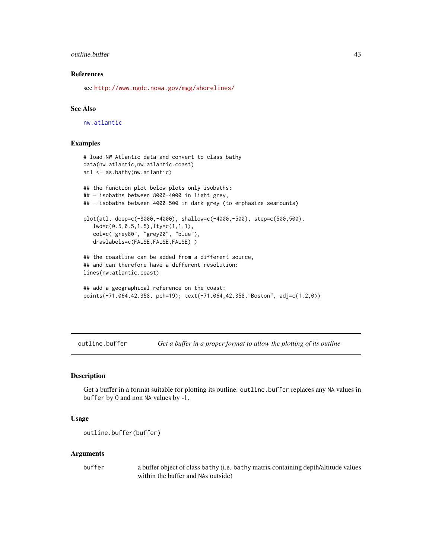#### <span id="page-42-0"></span>outline.buffer 43

# References

see <http://www.ngdc.noaa.gov/mgg/shorelines/>

# See Also

[nw.atlantic](#page-40-1)

# Examples

```
# load NW Atlantic data and convert to class bathy
data(nw.atlantic,nw.atlantic.coast)
atl <- as.bathy(nw.atlantic)
## the function plot below plots only isobaths:
## - isobaths between 8000-4000 in light grey,
## - isobaths between 4000-500 in dark grey (to emphasize seamounts)
plot(atl, deep=c(-8000,-4000), shallow=c(-4000,-500), step=c(500,500),
   lwd=c(0.5,0.5,1.5),lty=c(1,1,1),
   col=c("grey80", "grey20", "blue"),
   drawlabels=c(FALSE,FALSE,FALSE) )
## the coastline can be added from a different source,
## and can therefore have a different resolution:
lines(nw.atlantic.coast)
## add a geographical reference on the coast:
points(-71.064,42.358, pch=19); text(-71.064,42.358,"Boston", adj=c(1.2,0))
```
<span id="page-42-1"></span>outline.buffer *Get a buffer in a proper format to allow the plotting of its outline*

# Description

Get a buffer in a format suitable for plotting its outline. outline. buffer replaces any NA values in buffer by 0 and non NA values by -1.

# Usage

```
outline.buffer(buffer)
```
#### Arguments

buffer a buffer object of class bathy (i.e. bathy matrix containing depth/altitude values within the buffer and NAs outside)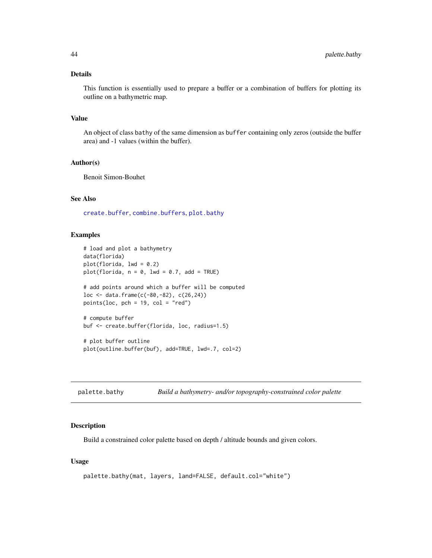# <span id="page-43-0"></span>Details

This function is essentially used to prepare a buffer or a combination of buffers for plotting its outline on a bathymetric map.

# Value

An object of class bathy of the same dimension as buffer containing only zeros (outside the buffer area) and -1 values (within the buffer).

#### Author(s)

Benoit Simon-Bouhet

# See Also

[create.buffer](#page-15-1), [combine.buffers](#page-14-1), [plot.bathy](#page-46-1)

# Examples

```
# load and plot a bathymetry
data(florida)
plot(florida, lwd = 0.2)
plot(florida, n = 0, lwd = 0.7, add = TRUE)
# add points around which a buffer will be computed
loc <- data.frame(c(-80,-82), c(26,24))
points(loc, pch = 19, col = "red")# compute buffer
buf <- create.buffer(florida, loc, radius=1.5)
# plot buffer outline
plot(outline.buffer(buf), add=TRUE, lwd=.7, col=2)
```
<span id="page-43-1"></span>palette.bathy *Build a bathymetry- and/or topography-constrained color palette*

#### Description

Build a constrained color palette based on depth / altitude bounds and given colors.

# Usage

```
palette.bathy(mat, layers, land=FALSE, default.col="white")
```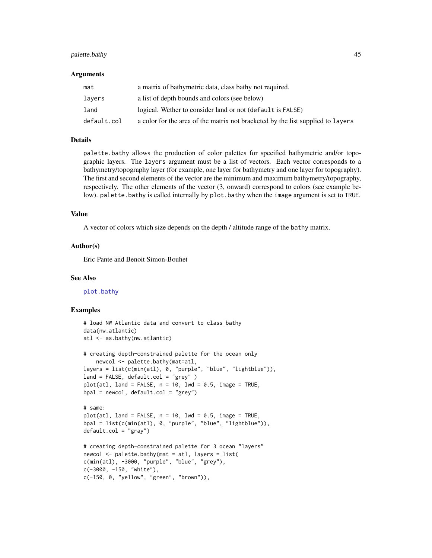# <span id="page-44-0"></span>palette.bathy and the state of the state of the state of the state of the state of the state of the state of the state of the state of the state of the state of the state of the state of the state of the state of the state

#### **Arguments**

| mat         | a matrix of bathymetric data, class bathy not required.                         |
|-------------|---------------------------------------------------------------------------------|
| lavers      | a list of depth bounds and colors (see below)                                   |
| land        | logical. Wether to consider land or not (default is FALSE)                      |
| default.col | a color for the area of the matrix not bracketed by the list supplied to layers |

# Details

palette.bathy allows the production of color palettes for specified bathymetric and/or topographic layers. The layers argument must be a list of vectors. Each vector corresponds to a bathymetry/topography layer (for example, one layer for bathymetry and one layer for topography). The first and second elements of the vector are the minimum and maximum bathymetry/topography, respectively. The other elements of the vector (3, onward) correspond to colors (see example below). palette.bathy is called internally by plot.bathy when the image argument is set to TRUE.

#### Value

A vector of colors which size depends on the depth / altitude range of the bathy matrix.

# Author(s)

Eric Pante and Benoit Simon-Bouhet

# See Also

[plot.bathy](#page-46-1)

#### Examples

```
# load NW Atlantic data and convert to class bathy
data(nw.atlantic)
atl <- as.bathy(nw.atlantic)
# creating depth-constrained palette for the ocean only
    newcol <- palette.bathy(mat=atl,
layers = list(c(min(atl), 0, "purple", "blue", "lightblue")),
land = FALSE, default.col = "grey" )
plot(at1, land = FALSE, n = 10, lwd = 0.5, image = TRUE,bpal = newcol, default,col = "grey")# same:
plot(at1, land = FALSE, n = 10, lwd = 0.5, image = TRUE,bpal = list(c(min(atl), 0, "purple", "blue", "lightblue")),
default.col = "gray")# creating depth-constrained palette for 3 ocean "layers"
newcol <- palette.bathy(mat = atl, layers = list(
c(min(atl), -3000, "purple", "blue", "grey"),
c(-3000, -150, "white"),
c(-150, 0, "yellow", "green", "brown")),
```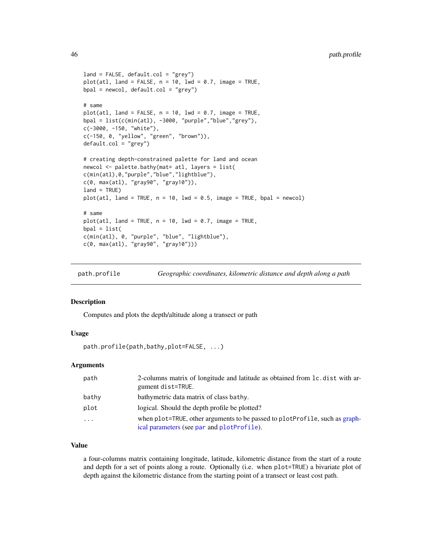```
land = FALSE, default.col = "grey")plot(at1, land = FALSE, n = 10, lwd = 0.7, image = TRUE,bpal = newcol, default.col = "grey")
# same
plot(at1, land = FALSE, n = 10, lwd = 0.7, image = TRUE,bpal = list(c(min(atl), -3000, "purple","blue","grey"),
c(-3000, -150, "white"),
c(-150, 0, "yellow", "green", "brown")),
default.col = "grey")# creating depth-constrained palette for land and ocean
newcol <- palette.bathy(mat= atl, layers = list(
c(min(atl),0,"purple","blue","lightblue"),
c(0, max(atl), "gray90", "gray10")),
land = TRUE)
plot(at1, land = TRUE, n = 10, lwd = 0.5, image = TRUE, bpal = newcol)# same
plot(at1, land = TRUE, n = 10, lwd = 0.7, image = TRUE,bpal = list(c(min(atl), 0, "purple", "blue", "lightblue"),
c(0, max(atl), "gray90", "gray10")))
```
<span id="page-45-1"></span>path.profile *Geographic coordinates, kilometric distance and depth along a path*

# Description

Computes and plots the depth/altitude along a transect or path

# Usage

```
path.profile(path,bathy,plot=FALSE, ...)
```
# Arguments

| path  | 2-columns matrix of longitude and latitude as obtained from 1c. dist with ar-<br>gument dist=TRUE.                        |
|-------|---------------------------------------------------------------------------------------------------------------------------|
| bathy | bathymetric data matrix of class bathy.                                                                                   |
| plot  | logical. Should the depth profile be plotted?                                                                             |
| .     | when plot=TRUE, other arguments to be passed to plotProfile, such as graph-<br>ical parameters (see par and plotProfile). |

# Value

a four-columns matrix containing longitude, latitude, kilometric distance from the start of a route and depth for a set of points along a route. Optionally (i.e. when plot=TRUE) a bivariate plot of depth against the kilometric distance from the starting point of a transect or least cost path.

<span id="page-45-0"></span>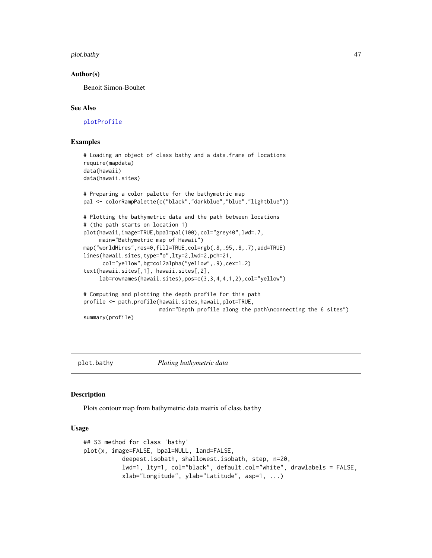#### <span id="page-46-0"></span>plot.bathy and the state of the state of the state of the state of the state of the state of the state of the state of the state of the state of the state of the state of the state of the state of the state of the state of

# Author(s)

Benoit Simon-Bouhet

# See Also

[plotProfile](#page-51-1)

# Examples

```
# Loading an object of class bathy and a data.frame of locations
require(mapdata)
data(hawaii)
data(hawaii.sites)
# Preparing a color palette for the bathymetric map
pal <- colorRampPalette(c("black","darkblue","blue","lightblue"))
# Plotting the bathymetric data and the path between locations
# (the path starts on location 1)
plot(hawaii,image=TRUE,bpal=pal(100),col="grey40",lwd=.7,
     main="Bathymetric map of Hawaii")
map("worldHires",res=0,fill=TRUE,col=rgb(.8,.95,.8,.7),add=TRUE)
lines(hawaii.sites,type="o",lty=2,lwd=2,pch=21,
      col="yellow",bg=col2alpha("yellow",.9),cex=1.2)
text(hawaii.sites[,1], hawaii.sites[,2],
     lab=rownames(hawaii.sites),pos=c(3,3,4,4,1,2),col="yellow")
# Computing and plotting the depth profile for this path
profile <- path.profile(hawaii.sites,hawaii,plot=TRUE,
                        main="Depth profile along the path\nconnecting the 6 sites")
summary(profile)
```
<span id="page-46-1"></span>plot.bathy *Ploting bathymetric data*

# Description

Plots contour map from bathymetric data matrix of class bathy

# Usage

```
## S3 method for class 'bathy'
plot(x, image=FALSE, bpal=NULL, land=FALSE,
           deepest.isobath, shallowest.isobath, step, n=20,
           lwd=1, lty=1, col="black", default.col="white", drawlabels = FALSE,
           xlab="Longitude", ylab="Latitude", asp=1, ...)
```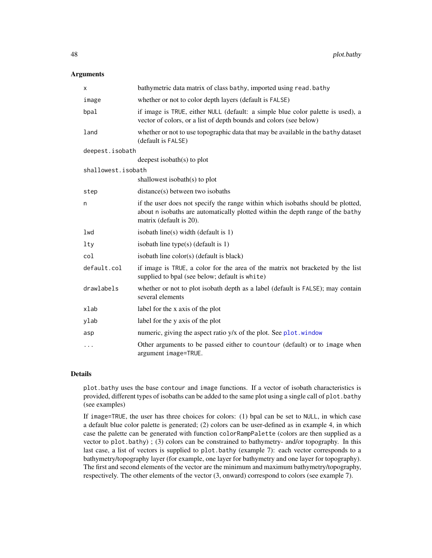#### <span id="page-47-0"></span>**Arguments**

| x                  | bathymetric data matrix of class bathy, imported using read. bathy                                                                                                                           |
|--------------------|----------------------------------------------------------------------------------------------------------------------------------------------------------------------------------------------|
| image              | whether or not to color depth layers (default is FALSE)                                                                                                                                      |
| bpal               | if image is TRUE, either NULL (default: a simple blue color palette is used), a<br>vector of colors, or a list of depth bounds and colors (see below)                                        |
| land               | whether or not to use topographic data that may be available in the bathy dataset<br>(default is FALSE)                                                                                      |
| deepest.isobath    |                                                                                                                                                                                              |
|                    | deepest isobath $(s)$ to plot                                                                                                                                                                |
| shallowest.isobath |                                                                                                                                                                                              |
|                    | shallowest isobath(s) to plot                                                                                                                                                                |
| step               | distance(s) between two isobaths                                                                                                                                                             |
| n                  | if the user does not specify the range within which isobaths should be plotted,<br>about n isobaths are automatically plotted within the depth range of the bathy<br>matrix (default is 20). |
| lwd                | isobath line(s) width (default is 1)                                                                                                                                                         |
| lty                | isobath line type(s) (default is $1$ )                                                                                                                                                       |
| col                | isobath line color(s) (default is black)                                                                                                                                                     |
| default.col        | if image is TRUE, a color for the area of the matrix not bracketed by the list<br>supplied to bpal (see below; default is white)                                                             |
| drawlabels         | whether or not to plot isobath depth as a label (default is FALSE); may contain<br>several elements                                                                                          |
| xlab               | label for the x axis of the plot                                                                                                                                                             |
| ylab               | label for the y axis of the plot                                                                                                                                                             |
| asp                | numeric, giving the aspect ratio y/x of the plot. See plot. window                                                                                                                           |
| .                  | Other arguments to be passed either to countour (default) or to image when<br>argument image=TRUE.                                                                                           |

#### Details

plot.bathy uses the base contour and image functions. If a vector of isobath characteristics is provided, different types of isobaths can be added to the same plot using a single call of plot.bathy (see examples)

If image=TRUE, the user has three choices for colors: (1) bpal can be set to NULL, in which case a default blue color palette is generated; (2) colors can be user-defined as in example 4, in which case the palette can be generated with function colorRampPalette (colors are then supplied as a vector to plot.bathy) ; (3) colors can be constrained to bathymetry- and/or topography. In this last case, a list of vectors is supplied to plot.bathy (example 7): each vector corresponds to a bathymetry/topography layer (for example, one layer for bathymetry and one layer for topography). The first and second elements of the vector are the minimum and maximum bathymetry/topography, respectively. The other elements of the vector (3, onward) correspond to colors (see example 7).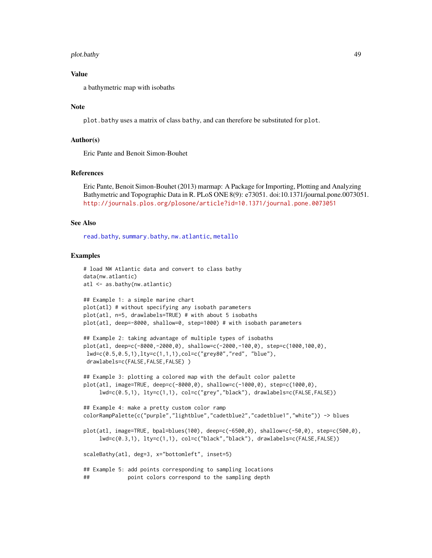#### <span id="page-48-0"></span>plot.bathy and the set of the set of the set of the set of the set of the set of the set of the set of the set o

# Value

a bathymetric map with isobaths

#### Note

plot.bathy uses a matrix of class bathy, and can therefore be substituted for plot.

# Author(s)

Eric Pante and Benoit Simon-Bouhet

# References

Eric Pante, Benoit Simon-Bouhet (2013) marmap: A Package for Importing, Plotting and Analyzing Bathymetric and Topographic Data in R. PLoS ONE 8(9): e73051. doi:10.1371/journal.pone.0073051. <http://journals.plos.org/plosone/article?id=10.1371/journal.pone.0073051>

#### See Also

[read.bathy](#page-53-1), [summary.bathy](#page-63-1), [nw.atlantic](#page-40-1), [metallo](#page-39-1)

# Examples

```
# load NW Atlantic data and convert to class bathy
data(nw.atlantic)
atl <- as.bathy(nw.atlantic)
## Example 1: a simple marine chart
plot(atl) # without specifying any isobath parameters
plot(atl, n=5, drawlabels=TRUE) # with about 5 isobaths
plot(atl, deep=-8000, shallow=0, step=1000) # with isobath parameters
## Example 2: taking advantage of multiple types of isobaths
plot(atl, deep=c(-8000,-2000,0), shallow=c(-2000,-100,0), step=c(1000,100,0),
lwd=c(0.5,0.5,1),lty=c(1,1,1),col=c("grey80","red", "blue"),
 drawlabels=c(FALSE,FALSE,FALSE) )
## Example 3: plotting a colored map with the default color palette
plot(atl, image=TRUE, deep=c(-8000,0), shallow=c(-1000,0), step=c(1000,0),
     lwd=c(0.5,1), lty=c(1,1), col=c("grey","black"), drawlabels=c(FALSE,FALSE))
## Example 4: make a pretty custom color ramp
colorRampPalette(c("purple","lightblue","cadetblue2","cadetblue1","white")) -> blues
plot(atl, image=TRUE, bpal=blues(100), deep=c(-6500,0), shallow=c(-50,0), step=c(500,0),
     lwd=c(0.3,1), lty=c(1,1), col=c("black","black"), drawlabels=c(FALSE,FALSE))
scaleBathy(atl, deg=3, x="bottomleft", inset=5)
## Example 5: add points corresponding to sampling locations
## point colors correspond to the sampling depth
```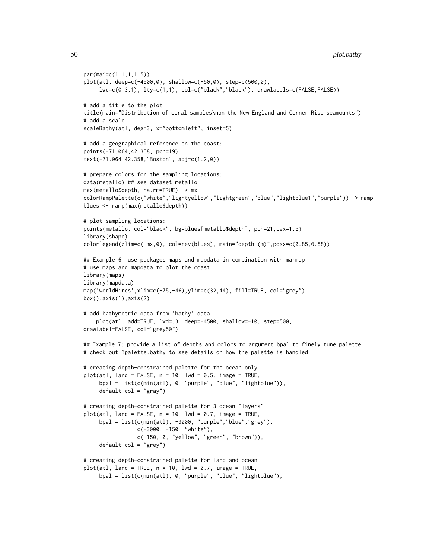```
par(mai=c(1,1,1,1.5))
plot(atl, deep=c(-4500,0), shallow=c(-50,0), step=c(500,0),
     lwd=c(0.3,1), lty=c(1,1), col=c("black","black"), drawlabels=c(FALSE,FALSE))
# add a title to the plot
title(main="Distribution of coral samples\non the New England and Corner Rise seamounts")
# add a scale
scaleBathy(atl, deg=3, x="bottomleft", inset=5)
# add a geographical reference on the coast:
points(-71.064,42.358, pch=19)
text(-71.064,42.358,"Boston", adj=c(1.2,0))
# prepare colors for the sampling locations:
data(metallo) ## see dataset metallo
max(metallo$depth, na.rm=TRUE) -> mx
colorRampPalette(c("white","lightyellow","lightgreen","blue","lightblue1","purple")) -> ramp
blues <- ramp(max(metallo$depth))
# plot sampling locations:
points(metallo, col="black", bg=blues[metallo$depth], pch=21,cex=1.5)
library(shape)
colorlegend(zlim=c(-mx,0), col=rev(blues), main="depth (m)",posx=c(0.85,0.88))
## Example 6: use packages maps and mapdata in combination with marmap
# use maps and mapdata to plot the coast
library(maps)
library(mapdata)
map('worldHires',xlim=c(-75,-46),ylim=c(32,44), fill=TRUE, col="grey")
box();axis(1);axis(2)
# add bathymetric data from 'bathy' data
    plot(atl, add=TRUE, lwd=.3, deep=-4500, shallow=-10, step=500,
drawlabel=FALSE, col="grey50")
## Example 7: provide a list of depths and colors to argument bpal to finely tune palette
# check out ?palette.bathy to see details on how the palette is handled
# creating depth-constrained palette for the ocean only
plot(at1, land = FALSE, n = 10, lwd = 0.5, image = TRUE,bpal = list(c(min(atl), 0, "purple", "blue", "lightblue")),
     default.col = "gray")
# creating depth-constrained palette for 3 ocean "layers"
plot(at1, land = FALSE, n = 10, lwd = 0.7, image = TRUE,bpal = list(c(min(atl), -3000, "purple","blue","grey"),
                 c(-3000, -150, "white"),
                 c(-150, 0, "yellow", "green", "brown")),
     default.col = "grey")
# creating depth-constrained palette for land and ocean
plot(at1, land = TRUE, n = 10, lwd = 0.7, image = TRUE,bpal = list(c(min(atl), 0, "purple", "blue", "lightblue"),
```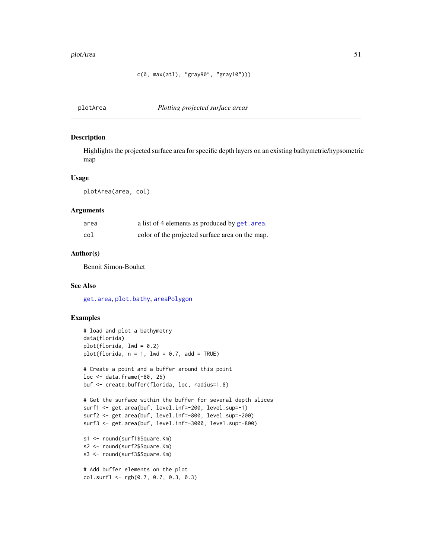c(0, max(atl), "gray90", "gray10")))

<span id="page-50-1"></span><span id="page-50-0"></span>

#### Description

Highlights the projected surface area for specific depth layers on an existing bathymetric/hypsometric map

#### Usage

plotArea(area, col)

#### Arguments

| area | a list of 4 elements as produced by get. area.  |
|------|-------------------------------------------------|
| col  | color of the projected surface area on the map. |

# Author(s)

Benoit Simon-Bouhet

# See Also

[get.area](#page-22-1), [plot.bathy](#page-46-1), [areaPolygon](#page-0-0)

# Examples

```
# load and plot a bathymetry
data(florida)
plot(florida, lwd = 0.2)
plot(florida, n = 1, lwd = 0.7, add = TRUE)# Create a point and a buffer around this point
loc <- data.frame(-80, 26)
buf <- create.buffer(florida, loc, radius=1.8)
# Get the surface within the buffer for several depth slices
surf1 <- get.area(buf, level.inf=-200, level.sup=-1)
surf2 <- get.area(buf, level.inf=-800, level.sup=-200)
surf3 <- get.area(buf, level.inf=-3000, level.sup=-800)
s1 <- round(surf1$Square.Km)
s2 <- round(surf2$Square.Km)
s3 <- round(surf3$Square.Km)
# Add buffer elements on the plot
```

```
col.surf1 <- rgb(0.7, 0.7, 0.3, 0.3)
```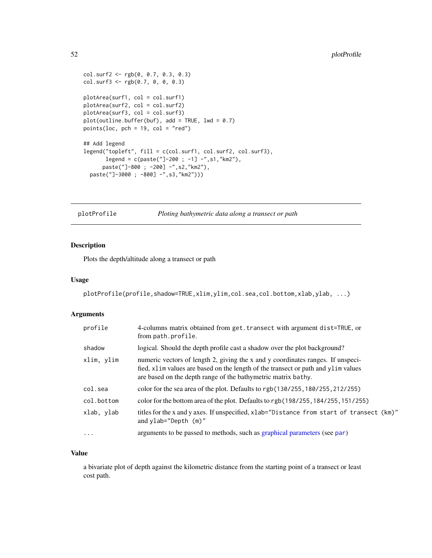```
col.surf2 <- rgb(0, 0.7, 0.3, 0.3)
col.surf3 < -rgb(0.7, 0, 0, 0.3)plotArea(surf1, col = col.surf1)
plotArea(surf2, col = col.surf2)
plotArea(surf3, col = col.surf3)
plot(outline.buffer(buf), add = TRUE, lwd = 0.7)points(loc, pch = 19, col = "red")
## Add legend
legend("topleft", fill = c(col.surf1, col.surf2, col.surf3),
       legend = c(paste("]-200 ; -1] -",s1,"km2"),
      paste("]-800 ; -200] -",s2,"km2"),
  paste("]-3000 ; -800] -",s3,"km2")))
```
<span id="page-51-1"></span>plotProfile *Ploting bathymetric data along a transect or path*

# Description

Plots the depth/altitude along a transect or path

#### Usage

```
plotProfile(profile,shadow=TRUE,xlim,ylim,col.sea,col.bottom,xlab,ylab, ...)
```
#### Arguments

| profile    | 4-columns matrix obtained from get. transect with argument dist=TRUE, or<br>from path.profile.                                                                                                                                        |
|------------|---------------------------------------------------------------------------------------------------------------------------------------------------------------------------------------------------------------------------------------|
| shadow     | logical. Should the depth profile cast a shadow over the plot background?                                                                                                                                                             |
| xlim, ylim | numeric vectors of length 2, giving the x and y coordinates ranges. If unspeci-<br>fied, x1im values are based on the length of the transect or path and y1im values<br>are based on the depth range of the bathymetric matrix bathy. |
| col.sea    | color for the sea area of the plot. Defaults to $rgb(130/255, 180/255, 212/255)$                                                                                                                                                      |
| col.bottom | color for the bottom area of the plot. Defaults to rgb(198/255, 184/255, 151/255)                                                                                                                                                     |
| xlab, ylab | titles for the x and y axes. If unspecified, xlab="Distance from start of transect (km)"<br>and $v$ lab="Depth $(m)$ "                                                                                                                |
| $\ddotsc$  | arguments to be passed to methods, such as graphical parameters (see par)                                                                                                                                                             |

# Value

a bivariate plot of depth against the kilometric distance from the starting point of a transect or least cost path.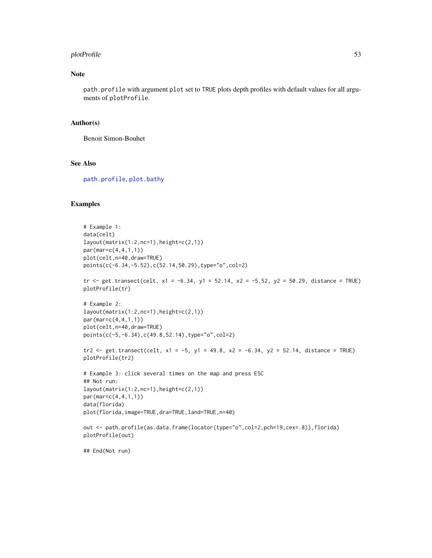#### <span id="page-52-0"></span>plotProfile 53

# Note

path.profile with argument plot set to TRUE plots depth profiles with default values for all arguments of plotProfile.

#### Author(s)

Benoit Simon-Bouhet

#### See Also

[path.profile](#page-45-1), [plot.bathy](#page-46-1)

# Examples

```
# Example 1:
data(celt)
layout(matrix(1:2,nc=1),height=c(2,1))
par(mar=c(4,4,1,1))
plot(celt,n=40,draw=TRUE)
points(c(-6.34,-5.52),c(52.14,50.29),type="o",col=2)
tr <- get.transect(celt, x1 = -6.34, y1 = 52.14, x2 = -5.52, y2 = 50.29, distance = TRUE)
plotProfile(tr)
# Example 2:
layout(matrix(1:2,nc=1),height=c(2,1))
par(mar=c(4,4,1,1))
plot(celt,n=40,draw=TRUE)
points(c(-5,-6.34),c(49.8,52.14),type="o",col=2)
tr2 <- get.transect(celt, x1 = -5, y1 = 49.8, x2 = -6.34, y2 = 52.14, distance = TRUE)
plotProfile(tr2)
# Example 3: click several times on the map and press ESC
## Not run:
layout(matrix(1:2,nc=1),height=c(2,1))
par(mar=c(4,4,1,1))
data(florida)
plot(florida,image=TRUE,dra=TRUE,land=TRUE,n=40)
out <- path.profile(as.data.frame(locator(type="o",col=2,pch=19,cex=.8)),florida)
plotProfile(out)
```
## End(Not run)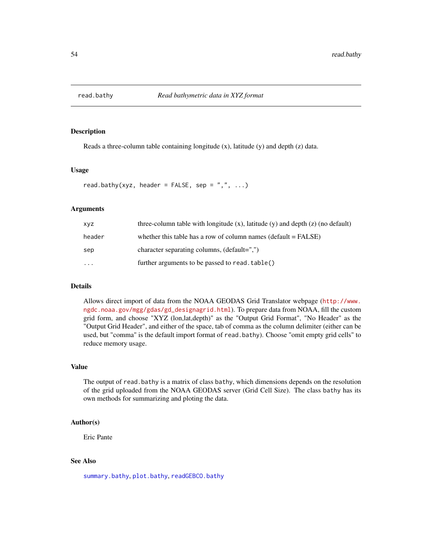<span id="page-53-1"></span><span id="page-53-0"></span>

Reads a three-column table containing longitude (x), latitude (y) and depth (z) data.

# Usage

read.bathy(xyz, header = FALSE, sep =  $",", \ldots)$ 

# Arguments

| XVZ.      | three-column table with longitude $(x)$ , latitude $(y)$ and depth $(z)$ (no default) |
|-----------|---------------------------------------------------------------------------------------|
| header    | whether this table has a row of column names (default $=$ FALSE)                      |
| sep       | character separating columns, (default=",")                                           |
| $\ddotsc$ | further arguments to be passed to read. table()                                       |

#### Details

Allows direct import of data from the NOAA GEODAS Grid Translator webpage ([http://www.](http://www.ngdc.noaa.gov/mgg/gdas/gd_designagrid.html) [ngdc.noaa.gov/mgg/gdas/gd\\_designagrid.html](http://www.ngdc.noaa.gov/mgg/gdas/gd_designagrid.html)). To prepare data from NOAA, fill the custom grid form, and choose "XYZ (lon,lat,depth)" as the "Output Grid Format", "No Header" as the "Output Grid Header", and either of the space, tab of comma as the column delimiter (either can be used, but "comma" is the default import format of read.bathy). Choose "omit empty grid cells" to reduce memory usage.

#### Value

The output of read.bathy is a matrix of class bathy, which dimensions depends on the resolution of the grid uploaded from the NOAA GEODAS server (Grid Cell Size). The class bathy has its own methods for summarizing and ploting the data.

# Author(s)

Eric Pante

#### See Also

[summary.bathy](#page-63-1), [plot.bathy](#page-46-1), [readGEBCO.bathy](#page-54-1)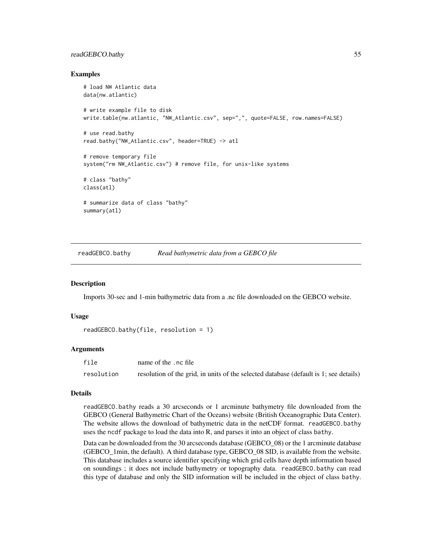#### <span id="page-54-0"></span>readGEBCO.bathy 55

## Examples

```
# load NW Atlantic data
data(nw.atlantic)
# write example file to disk
write.table(nw.atlantic, "NW_Atlantic.csv", sep=",", quote=FALSE, row.names=FALSE)
# use read.bathy
read.bathy("NW_Atlantic.csv", header=TRUE) -> atl
# remove temporary file
system("rm NW_Atlantic.csv") # remove file, for unix-like systems
# class "bathy"
class(atl)
# summarize data of class "bathy"
summary(atl)
```
<span id="page-54-1"></span>readGEBCO.bathy *Read bathymetric data from a GEBCO file*

# **Description**

Imports 30-sec and 1-min bathymetric data from a .nc file downloaded on the GEBCO website.

# Usage

```
readGEBCO.bathy(file, resolution = 1)
```
#### Arguments

| file       | name of the .nc file                                                                  |
|------------|---------------------------------------------------------------------------------------|
| resolution | resolution of the grid, in units of the selected database (default is 1; see details) |

# Details

readGEBCO.bathy reads a 30 arcseconds or 1 arcminute bathymetry file downloaded from the GEBCO (General Bathymetric Chart of the Oceans) website (British Oceanographic Data Center). The website allows the download of bathymetric data in the netCDF format. readGEBCO.bathy uses the ncdf package to load the data into R, and parses it into an object of class bathy.

Data can be downloaded from the 30 arcseconds database (GEBCO\_08) or the 1 arcminute database (GEBCO\_1min, the default). A third database type, GEBCO\_08 SID, is available from the website. This database includes a source identifier specifying which grid cells have depth information based on soundings ; it does not include bathymetry or topography data. readGEBCO.bathy can read this type of database and only the SID information will be included in the object of class bathy.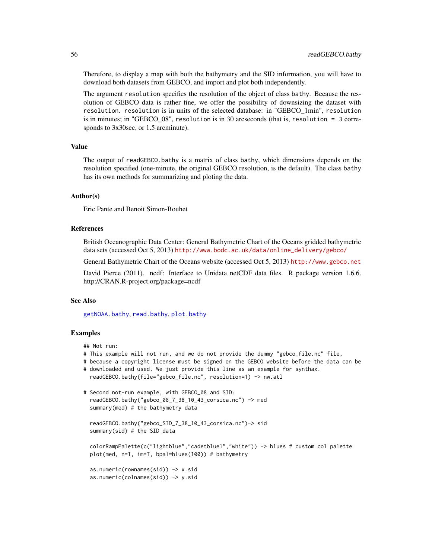Therefore, to display a map with both the bathymetry and the SID information, you will have to download both datasets from GEBCO, and import and plot both independently.

The argument resolution specifies the resolution of the object of class bathy. Because the resolution of GEBCO data is rather fine, we offer the possibility of downsizing the dataset with resolution. resolution is in units of the selected database: in "GEBCO\_1min", resolution is in minutes; in "GEBCO\_08", resolution is in 30 arcseconds (that is, resolution = 3 corresponds to 3x30sec, or 1.5 arcminute).

#### Value

The output of readGEBCO.bathy is a matrix of class bathy, which dimensions depends on the resolution specified (one-minute, the original GEBCO resolution, is the default). The class bathy has its own methods for summarizing and ploting the data.

#### Author(s)

Eric Pante and Benoit Simon-Bouhet

# References

British Oceanographic Data Center: General Bathymetric Chart of the Oceans gridded bathymetric data sets (accessed Oct 5, 2013) [http://www.bodc.ac.uk/data/online\\_delivery/gebco/](http://www.bodc.ac.uk/data/online_delivery/gebco/)

General Bathymetric Chart of the Oceans website (accessed Oct 5, 2013) <http://www.gebco.net>

David Pierce (2011). ncdf: Interface to Unidata netCDF data files. R package version 1.6.6. http://CRAN.R-project.org/package=ncdf

# See Also

[getNOAA.bathy](#page-31-1), [read.bathy](#page-53-1), [plot.bathy](#page-46-1)

## Examples

## Not run:

- # This example will not run, and we do not provide the dummy "gebco\_file.nc" file,
- # because a copyright license must be signed on the GEBCO website before the data can be
- # downloaded and used. We just provide this line as an example for synthax.
- readGEBCO.bathy(file="gebco\_file.nc", resolution=1) -> nw.atl

```
# Second not-run example, with GEBCO_08 and SID:
 readGEBCO.bathy("gebco_08_7_38_10_43_corsica.nc") -> med
 summary(med) # the bathymetry data
```

```
readGEBCO.bathy("gebco_SID_7_38_10_43_corsica.nc")-> sid
summary(sid) # the SID data
```

```
colorRampPalette(c("lightblue","cadetblue1","white")) -> blues # custom col palette
plot(med, n=1, im=T, bpal=blues(100)) # bathymetry
```

```
as.numeric(rownames(sid)) -> x.sid
as.numeric(colnames(sid)) -> y.sid
```
<span id="page-55-0"></span>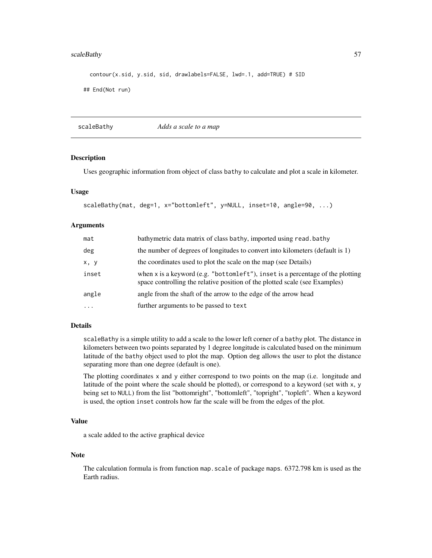#### <span id="page-56-0"></span>scaleBathy 57

```
contour(x.sid, y.sid, sid, drawlabels=FALSE, lwd=.1, add=TRUE) # SID
## End(Not run)
```
scaleBathy *Adds a scale to a map*

# Description

Uses geographic information from object of class bathy to calculate and plot a scale in kilometer.

#### Usage

```
scaleBathy(mat, deg=1, x="bottomleft", y=NULL, inset=10, angle=90, ...)
```
# Arguments

| mat       | bathymetric data matrix of class bathy, imported using read. bathy                                                                                            |
|-----------|---------------------------------------------------------------------------------------------------------------------------------------------------------------|
| deg       | the number of degrees of longitudes to convert into kilometers (default is 1)                                                                                 |
| x, y      | the coordinates used to plot the scale on the map (see Details)                                                                                               |
| inset     | when x is a keyword (e.g. "bottomleft"), inset is a percentage of the plotting<br>space controlling the relative position of the plotted scale (see Examples) |
| angle     | angle from the shaft of the arrow to the edge of the arrow head                                                                                               |
| $\ddotsc$ | further arguments to be passed to text                                                                                                                        |

# Details

scaleBathy is a simple utility to add a scale to the lower left corner of a bathy plot. The distance in kilometers between two points separated by 1 degree longitude is calculated based on the minimum latitude of the bathy object used to plot the map. Option deg allows the user to plot the distance separating more than one degree (default is one).

The plotting coordinates x and y either correspond to two points on the map (i.e. longitude and latitude of the point where the scale should be plotted), or correspond to a keyword (set with  $x, y$ being set to NULL) from the list "bottomright", "bottomleft", "topright", "topleft". When a keyword is used, the option inset controls how far the scale will be from the edges of the plot.

# Value

a scale added to the active graphical device

#### Note

The calculation formula is from function map.scale of package maps. 6372.798 km is used as the Earth radius.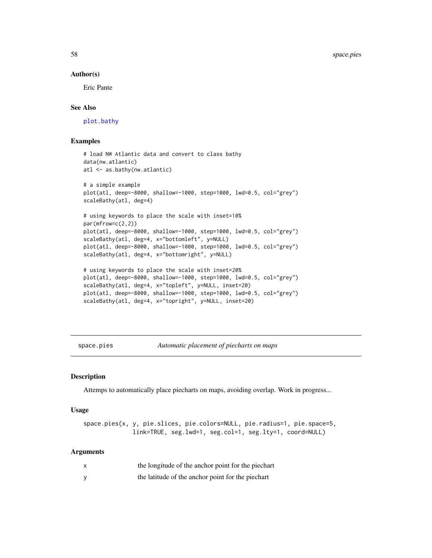#### Author(s)

Eric Pante

# See Also

[plot.bathy](#page-46-1)

# Examples

```
# load NW Atlantic data and convert to class bathy
data(nw.atlantic)
atl <- as.bathy(nw.atlantic)
# a simple example
plot(atl, deep=-8000, shallow=-1000, step=1000, lwd=0.5, col="grey")
scaleBathy(atl, deg=4)
# using keywords to place the scale with inset=10%
par(mfrow=c(2,2))
plot(atl, deep=-8000, shallow=-1000, step=1000, lwd=0.5, col="grey")
scaleBathy(atl, deg=4, x="bottomleft", y=NULL)
plot(atl, deep=-8000, shallow=-1000, step=1000, lwd=0.5, col="grey")
scaleBathy(atl, deg=4, x="bottomright", y=NULL)
# using keywords to place the scale with inset=20%
plot(atl, deep=-8000, shallow=-1000, step=1000, lwd=0.5, col="grey")
scaleBathy(atl, deg=4, x="topleft", y=NULL, inset=20)
```

```
plot(atl, deep=-8000, shallow=-1000, step=1000, lwd=0.5, col="grey")
scaleBathy(atl, deg=4, x="topright", y=NULL, inset=20)
```
space.pies *Automatic placement of piecharts on maps*

# Description

Attemps to automatically place piecharts on maps, avoiding overlap. Work in progress...

#### Usage

space.pies(x, y, pie.slices, pie.colors=NULL, pie.radius=1, pie.space=5, link=TRUE, seg.lwd=1, seg.col=1, seg.lty=1, coord=NULL)

#### Arguments

| $\times$ | the longitude of the anchor point for the piechart |
|----------|----------------------------------------------------|
|          | the latitude of the anchor point for the piechart  |

<span id="page-57-0"></span>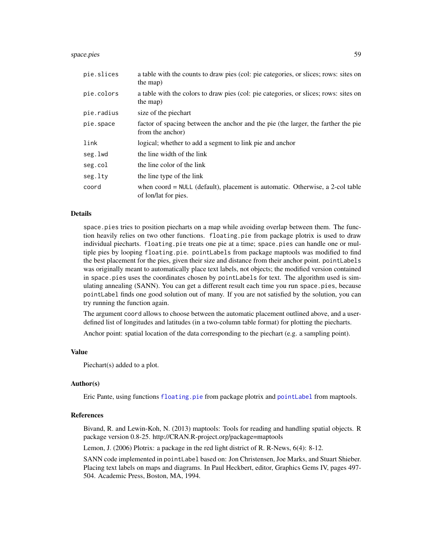#### <span id="page-58-0"></span>space.pies 59

| pie.slices | a table with the counts to draw pies (col: pie categories, or slices; rows: sites on<br>the map)        |
|------------|---------------------------------------------------------------------------------------------------------|
| pie.colors | a table with the colors to draw pies (col: pie categories, or slices; rows: sites on<br>the map)        |
| pie.radius | size of the piechart                                                                                    |
| pie.space  | factor of spacing between the anchor and the pie (the larger, the farther the pie<br>from the anchor)   |
| link       | logical; whether to add a segment to link pie and anchor                                                |
| seg.lwd    | the line width of the link                                                                              |
| seg.col    | the line color of the link                                                                              |
| seg.lty    | the line type of the link                                                                               |
| coord      | when $coord = NULL$ (default), placement is automatic. Otherwise, a 2-col table<br>of lon/lat for pies. |

#### Details

space.pies tries to position piecharts on a map while avoiding overlap between them. The function heavily relies on two other functions. floating.pie from package plotrix is used to draw individual piecharts. floating.pie treats one pie at a time; space.pies can handle one or multiple pies by looping floating.pie. pointLabels from package maptools was modified to find the best placement for the pies, given their size and distance from their anchor point. pointLabels was originally meant to automatically place text labels, not objects; the modified version contained in space.pies uses the coordinates chosen by pointLabels for text. The algorithm used is simulating annealing (SANN). You can get a different result each time you run space.pies, because pointLabel finds one good solution out of many. If you are not satisfied by the solution, you can try running the function again.

The argument coord allows to choose between the automatic placement outlined above, and a userdefined list of longitudes and latitudes (in a two-column table format) for plotting the piecharts.

Anchor point: spatial location of the data corresponding to the piechart (e.g. a sampling point).

#### Value

Piechart(s) added to a plot.

#### Author(s)

Eric Pante, using functions [floating.pie](#page-0-0) from package plotrix and [pointLabel](#page-0-0) from maptools.

# References

Bivand, R. and Lewin-Koh, N. (2013) maptools: Tools for reading and handling spatial objects. R package version 0.8-25. http://CRAN.R-project.org/package=maptools

Lemon, J. (2006) Plotrix: a package in the red light district of R. R-News, 6(4): 8-12.

SANN code implemented in pointLabel based on: Jon Christensen, Joe Marks, and Stuart Shieber. Placing text labels on maps and diagrams. In Paul Heckbert, editor, Graphics Gems IV, pages 497- 504. Academic Press, Boston, MA, 1994.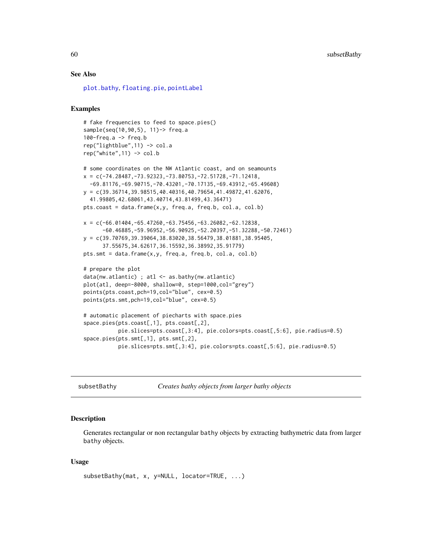#### See Also

[plot.bathy](#page-46-1), [floating.pie](#page-0-0), [pointLabel](#page-0-0)

# Examples

```
# fake frequencies to feed to space.pies()
sample(seq(10,90,5), 11)-> freq.a
100-freq.a -> freq.b
rep("lightblue",11) -> col.a
rep("white", 11) \rightarrow col.b
```

```
# some coordinates on the NW Atlantic coast, and on seamounts
x = c(-74.28487, -73.92323, -73.80753, -72.51728, -71.12418,-69.81176,-69.90715,-70.43201,-70.17135,-69.43912,-65.49608)
y = c(39.36714,39.98515,40.40316,40.79654,41.49872,41.62076,
  41.99805,42.68061,43.40714,43.81499,43.36471)
pts.coast = data.frame(x,y, freq.a, freq.b, col.a, col.b)
x = c(-66.01404, -65.47260, -63.75456, -63.26082, -62.12838,-60.46885,-59.96952,-56.90925,-52.20397,-51.32288,-50.72461)
y = c(39.70769, 39.39064, 38.83020, 38.56479, 38.01881, 38.95405,37.55675,34.62617,36.15592,36.38992,35.91779)
pts.smt = data.frame(x,y, freq.a, freq.b, col.a, col.b)
# prepare the plot
data(nw.atlantic) ; atl <- as.bathy(nw.atlantic)
plot(atl, deep=-8000, shallow=0, step=1000,col="grey")
points(pts.coast,pch=19,col="blue", cex=0.5)
points(pts.smt,pch=19,col="blue", cex=0.5)
# automatic placement of piecharts with space.pies
space.pies(pts.coast[,1], pts.coast[,2],
           pie.slices=pts.coast[,3:4], pie.colors=pts.coast[,5:6], pie.radius=0.5)
space.pies(pts.smt[,1], pts.smt[,2],
           pie.slices=pts.smt[,3:4], pie.colors=pts.coast[,5:6], pie.radius=0.5)
```
<span id="page-59-1"></span>subsetBathy *Creates bathy objects from larger bathy objects*

# **Description**

Generates rectangular or non rectangular bathy objects by extracting bathymetric data from larger bathy objects.

#### Usage

```
subsetBathy(mat, x, y=NULL, locator=TRUE, ...)
```
<span id="page-59-0"></span>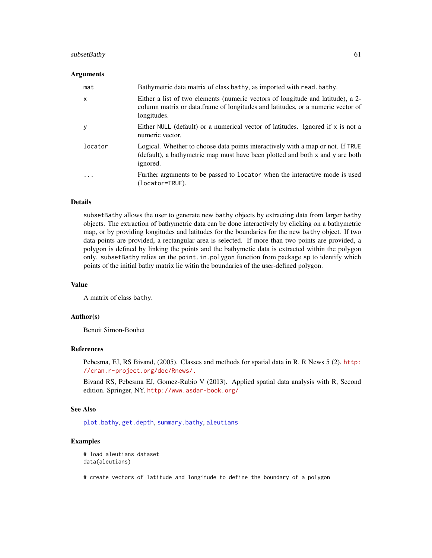# <span id="page-60-0"></span>subsetBathy 61

#### Arguments

| mat          | Bathymetric data matrix of class bathy, as imported with read bathy.                                                                                                              |
|--------------|-----------------------------------------------------------------------------------------------------------------------------------------------------------------------------------|
| $\mathsf{x}$ | Either a list of two elements (numeric vectors of longitude and latitude), a 2-<br>column matrix or data.frame of longitudes and latitudes, or a numeric vector of<br>longitudes. |
| У            | Either NULL (default) or a numerical vector of latitudes. Ignored if x is not a<br>numeric vector.                                                                                |
| locator      | Logical. Whether to choose data points interactively with a map or not. If TRUE<br>(default), a bathymetric map must have been plotted and both x and y are both<br>ignored.      |
| .            | Further arguments to be passed to locator when the interactive mode is used<br>(locator=TRUE).                                                                                    |

# Details

subsetBathy allows the user to generate new bathy objects by extracting data from larger bathy objects. The extraction of bathymetric data can be done interactively by clicking on a bathymetric map, or by providing longitudes and latitudes for the boundaries for the new bathy object. If two data points are provided, a rectangular area is selected. If more than two points are provided, a polygon is defined by linking the points and the bathymetic data is extracted within the polygon only. subsetBathy relies on the point.in.polygon function from package sp to identify which points of the initial bathy matrix lie witin the boundaries of the user-defined polygon.

#### Value

A matrix of class bathy.

# Author(s)

Benoit Simon-Bouhet

# References

Pebesma, EJ, RS Bivand, (2005). Classes and methods for spatial data in R. R News 5 (2), [http:](http://cran.r-project.org/doc/Rnews/.) [//cran.r-project.org/doc/Rnews/.](http://cran.r-project.org/doc/Rnews/.)

Bivand RS, Pebesma EJ, Gomez-Rubio V (2013). Applied spatial data analysis with R, Second edition. Springer, NY. <http://www.asdar-book.org/>

#### See Also

[plot.bathy](#page-46-1), [get.depth](#page-26-1), [summary.bathy](#page-63-1), [aleutians](#page-1-1)

# Examples

```
# load aleutians dataset
data(aleutians)
```
# create vectors of latitude and longitude to define the boundary of a polygon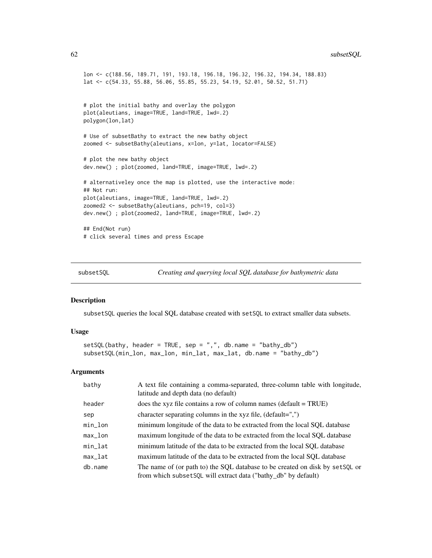#### <span id="page-61-0"></span>62 subsetSQL

```
lon <- c(188.56, 189.71, 191, 193.18, 196.18, 196.32, 196.32, 194.34, 188.83)
lat <- c(54.33, 55.88, 56.06, 55.85, 55.23, 54.19, 52.01, 50.52, 51.71)
# plot the initial bathy and overlay the polygon
plot(aleutians, image=TRUE, land=TRUE, lwd=.2)
polygon(lon,lat)
# Use of subsetBathy to extract the new bathy object
zoomed <- subsetBathy(aleutians, x=lon, y=lat, locator=FALSE)
# plot the new bathy object
dev.new() ; plot(zoomed, land=TRUE, image=TRUE, lwd=.2)
# alternativeley once the map is plotted, use the interactive mode:
## Not run:
plot(aleutians, image=TRUE, land=TRUE, lwd=.2)
zoomed2 <- subsetBathy(aleutians, pch=19, col=3)
dev.new() ; plot(zoomed2, land=TRUE, image=TRUE, lwd=.2)
## End(Not run)
# click several times and press Escape
```
subsetSQL *Creating and querying local SQL database for bathymetric data*

#### Description

subsetSQL queries the local SQL database created with setSQL to extract smaller data subsets.

#### Usage

```
setsQL(bathy, header = TRUE, sep = ", ", db.name = "bathy_db")subsetSQL(min_lon, max_lon, min_lat, max_lat, db.name = "bathy_db")
```
#### Arguments

| bathy      | A text file containing a comma-separated, three-column table with longitude,<br>latitude and depth data (no default)                             |
|------------|--------------------------------------------------------------------------------------------------------------------------------------------------|
| header     | does the xyz file contains a row of column names (default $= TRUE$ )                                                                             |
| sep        | character separating columns in the xyz file, $(\text{default} =",")$                                                                            |
| min_lon    | minimum longitude of the data to be extracted from the local SQL database                                                                        |
| $max_l$    | maximum longitude of the data to be extracted from the local SQL database                                                                        |
| min_lat    | minimum latitude of the data to be extracted from the local SQL database                                                                         |
| $max$ _lat | maximum latitude of the data to be extracted from the local SQL database                                                                         |
| db.name    | The name of (or path to) the SQL database to be created on disk by set SQL or<br>from which subset SQL will extract data ("bathy_db" by default) |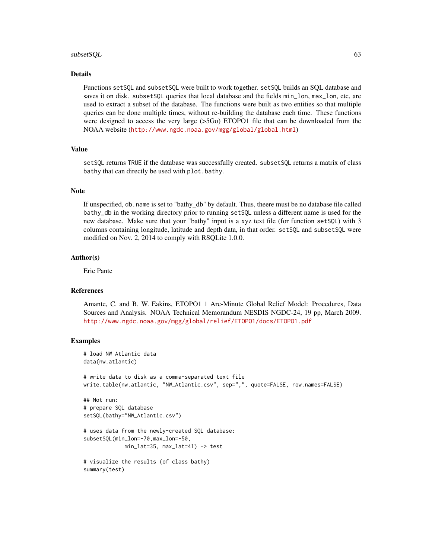#### $\mathsf{subsetSQL}$  63

#### Details

Functions setSQL and subsetSQL were built to work together. setSQL builds an SQL database and saves it on disk. subsetSQL queries that local database and the fields min\_lon, max\_lon, etc, are used to extract a subset of the database. The functions were built as two entities so that multiple queries can be done multiple times, without re-building the database each time. These functions were designed to access the very large (>5Go) ETOPO1 file that can be downloaded from the NOAA website (<http://www.ngdc.noaa.gov/mgg/global/global.html>)

#### Value

setSQL returns TRUE if the database was successfully created. subsetSQL returns a matrix of class bathy that can directly be used with plot.bathy.

# Note

If unspecified, db.name is set to "bathy\_db" by default. Thus, theere must be no database file called bathy\_db in the working directory prior to running setSQL unless a different name is used for the new database. Make sure that your "bathy" input is a xyz text file (for function setSQL) with 3 columns containing longitude, latitude and depth data, in that order. setSQL and subsetSQL were modified on Nov. 2, 2014 to comply with RSQLite 1.0.0.

# Author(s)

Eric Pante

# References

Amante, C. and B. W. Eakins, ETOPO1 1 Arc-Minute Global Relief Model: Procedures, Data Sources and Analysis. NOAA Technical Memorandum NESDIS NGDC-24, 19 pp, March 2009. <http://www.ngdc.noaa.gov/mgg/global/relief/ETOPO1/docs/ETOPO1.pdf>

#### Examples

```
# load NW Atlantic data
data(nw.atlantic)
# write data to disk as a comma-separated text file
write.table(nw.atlantic, "NW_Atlantic.csv", sep=",", quote=FALSE, row.names=FALSE)
## Not run:
# prepare SQL database
setSQL(bathy="NW_Atlantic.csv")
# uses data from the newly-created SQL database:
subsetSQL(min_lon=-70,max_lon=-50,
            min_lat=35, max_lat=41) -> test
# visualize the results (of class bathy)
summary(test)
```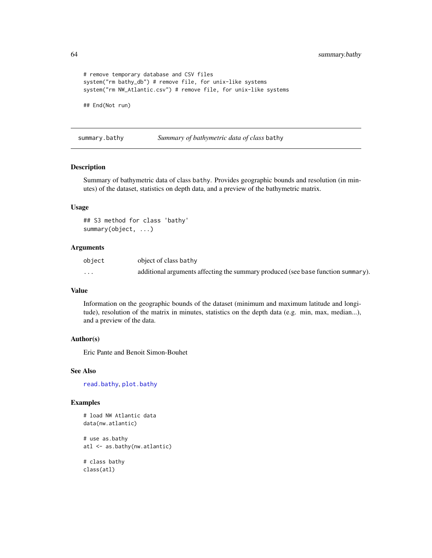<span id="page-63-0"></span>64 summary.bathy

```
# remove temporary database and CSV files
system("rm bathy_db") # remove file, for unix-like systems
system("rm NW_Atlantic.csv") # remove file, for unix-like systems
## End(Not run)
```
<span id="page-63-1"></span>summary.bathy *Summary of bathymetric data of class* bathy

# Description

Summary of bathymetric data of class bathy. Provides geographic bounds and resolution (in minutes) of the dataset, statistics on depth data, and a preview of the bathymetric matrix.

# Usage

```
## S3 method for class 'bathy'
summary(object, ...)
```
# Arguments

| object | object of class bathy                                                            |
|--------|----------------------------------------------------------------------------------|
| .      | additional arguments affecting the summary produced (see base function summary). |

## Value

Information on the geographic bounds of the dataset (minimum and maximum latitude and longitude), resolution of the matrix in minutes, statistics on the depth data (e.g. min, max, median...), and a preview of the data.

#### Author(s)

Eric Pante and Benoit Simon-Bouhet

# See Also

[read.bathy](#page-53-1), [plot.bathy](#page-46-1)

# Examples

```
# load NW Atlantic data
data(nw.atlantic)
```
# use as.bathy atl <- as.bathy(nw.atlantic)

# class bathy class(atl)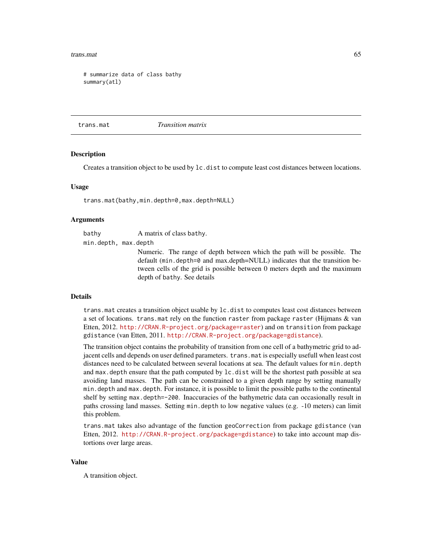#### <span id="page-64-0"></span>trans.mat 65

```
# summarize data of class bathy
summary(atl)
```
<span id="page-64-1"></span>trans.mat *Transition matrix*

#### Description

Creates a transition object to be used by lc.dist to compute least cost distances between locations.

#### Usage

trans.mat(bathy,min.depth=0,max.depth=NULL)

#### Arguments

bathy **A** matrix of class bathy.

min.depth, max.depth

Numeric. The range of depth between which the path will be possible. The default (min.depth=0 and max.depth=NULL) indicates that the transition between cells of the grid is possible between 0 meters depth and the maximum depth of bathy. See details

#### Details

trans.mat creates a transition object usable by lc.dist to computes least cost distances between a set of locations. trans.mat rely on the function raster from package raster (Hijmans & van Etten, 2012. <http://CRAN.R-project.org/package=raster>) and on transition from package gdistance (van Etten, 2011. <http://CRAN.R-project.org/package=gdistance>).

The transition object contains the probability of transition from one cell of a bathymetric grid to adjacent cells and depends on user defined parameters. trans.mat is especially usefull when least cost distances need to be calculated between several locations at sea. The default values for min.depth and max.depth ensure that the path computed by lc.dist will be the shortest path possible at sea avoiding land masses. The path can be constrained to a given depth range by setting manually min.depth and max.depth. For instance, it is possible to limit the possible paths to the continental shelf by setting max.depth=-200. Inaccuracies of the bathymetric data can occasionally result in paths crossing land masses. Setting min.depth to low negative values (e.g. -10 meters) can limit this problem.

trans.mat takes also advantage of the function geoCorrection from package gdistance (van Etten, 2012. <http://CRAN.R-project.org/package=gdistance>) to take into account map distortions over large areas.

# Value

A transition object.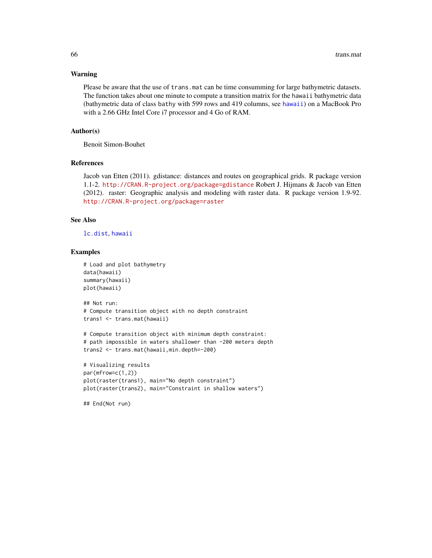#### Warning

Please be aware that the use of trans.mat can be time consumming for large bathymetric datasets. The function takes about one minute to compute a transition matrix for the hawaii bathymetric data (bathymetric data of class bathy with 599 rows and 419 columns, see [hawaii](#page-32-1)) on a MacBook Pro with a 2.66 GHz Intel Core i7 processor and 4 Go of RAM.

# Author(s)

Benoit Simon-Bouhet

# References

Jacob van Etten (2011). gdistance: distances and routes on geographical grids. R package version 1.1-2. <http://CRAN.R-project.org/package=gdistance> Robert J. Hijmans & Jacob van Etten (2012). raster: Geographic analysis and modeling with raster data. R package version 1.9-92. <http://CRAN.R-project.org/package=raster>

# See Also

[lc.dist](#page-35-1), [hawaii](#page-32-1)

# Examples

```
# Load and plot bathymetry
data(hawaii)
summary(hawaii)
plot(hawaii)
```
## Not run: # Compute transition object with no depth constraint trans1 <- trans.mat(hawaii)

```
# Compute transition object with minimum depth constraint:
# path impossible in waters shallower than -200 meters depth
trans2 <- trans.mat(hawaii,min.depth=-200)
```

```
# Visualizing results
par(mfrow=c(1,2))
plot(raster(trans1), main="No depth constraint")
plot(raster(trans2), main="Constraint in shallow waters")
```
## End(Not run)

<span id="page-65-0"></span>